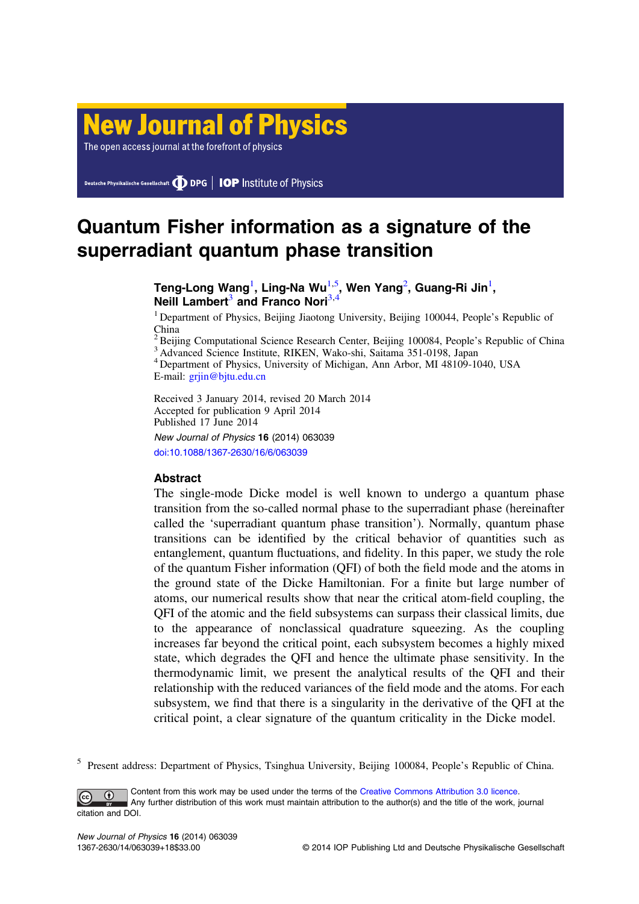# **New Journal of Physics**

The open access journal at the forefront of physics

Deutsche Physikalische Gesellschaft **DDPG** | IOP Institute of Physics

# Quantum Fisher information as a signature of the superradiant quantum phase transition

# Teng-Long Wang $^{\rm l}$ , Ling-Na Wu $^{\rm l,5}$ , Wen Yang $^{\rm 2}$ , Guang-Ri Jin $^{\rm l}$ , Neill Lambert<sup>3</sup> and Franco Nori<sup>3</sup>

<sup>1</sup> Department of Physics, Beijing Jiaotong University, Beijing 100044, People's Republic of China

 $^{2}$ Beijing Computational Science Research Center, Beijing 100084, People's Republic of China  $^{3}$ Advanced Science Institute, RIKEN, Wako-shi, Saitama 351-0198, Japan

<sup>4</sup> Department of Physics, University of Michigan, Ann Arbor, MI 48109-1040, USA E-mail: [grjin@bjtu.edu.cn](mailto:grjin@bjtu.edu.cn)

Received 3 January 2014, revised 20 March 2014 Accepted for publication 9 April 2014 Published 17 June 2014

New Journal of Physics 16 (2014) 063039 [doi:10.1088/1367-2630/16/6/063039](http://dx.doi.org/10.1088/1367-2630/16/6/063039)

## **Abstract**

The single-mode Dicke model is well known to undergo a quantum phase transition from the so-called normal phase to the superradiant phase (hereinafter called the 'superradiant quantum phase transition'). Normally, quantum phase transitions can be identified by the critical behavior of quantities such as entanglement, quantum fluctuations, and fidelity. In this paper, we study the role of the quantum Fisher information (QFI) of both the field mode and the atoms in the ground state of the Dicke Hamiltonian. For a finite but large number of atoms, our numerical results show that near the critical atom-field coupling, the QFI of the atomic and the field subsystems can surpass their classical limits, due to the appearance of nonclassical quadrature squeezing. As the coupling increases far beyond the critical point, each subsystem becomes a highly mixed state, which degrades the QFI and hence the ultimate phase sensitivity. In the thermodynamic limit, we present the analytical results of the QFI and their relationship with the reduced variances of the field mode and the atoms. For each subsystem, we find that there is a singularity in the derivative of the QFI at the critical point, a clear signature of the quantum criticality in the Dicke model.

<sup>5</sup> Present address: Department of Physics, Tsinghua University, Beijing 100084, People's Republic of China.

Content from this work may be used under the terms of the [Creative Commons Attribution 3.0 licence](http://creativecommons.org/licenses/by/3.0/).  $\bigcirc$ Any further distribution of this work must maintain attribution to the author(s) and the title of the work, journal citation and DOI.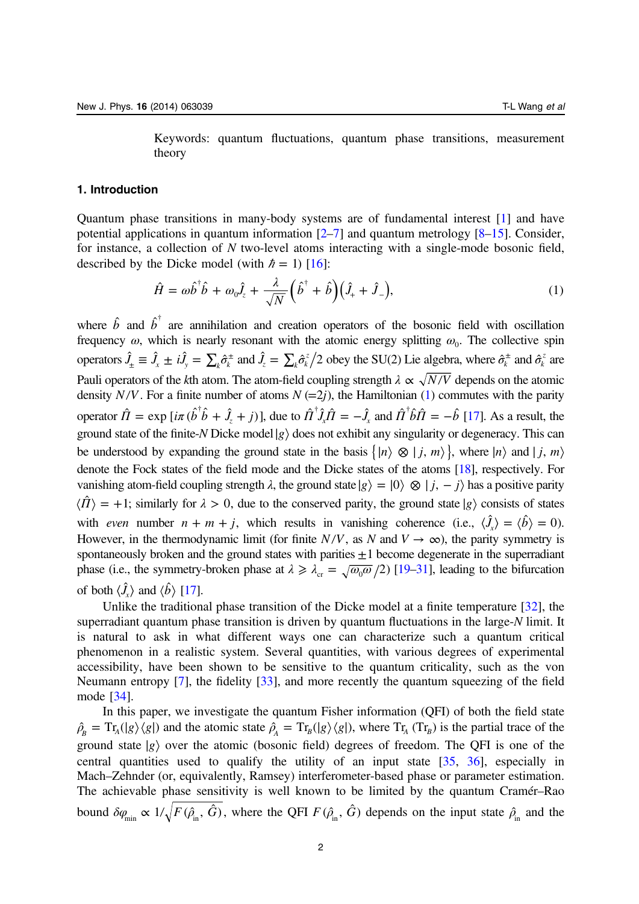Keywords: quantum fluctuations, quantum phase transitions, measurement theory

#### <span id="page-1-0"></span>1. Introduction

Quantum phase transitions in many-body systems are of fundamental interest [\[1](#page-16-0)] and have potential applications in quantum information  $[2-7]$  $[2-7]$  $[2-7]$  $[2-7]$  $[2-7]$  and quantum metrology  $[8-15]$  $[8-15]$  $[8-15]$ . Consider, for instance, a collection of N two-level atoms interacting with a single-mode bosonic field, described by the Dicke model (with  $\hbar = 1$ ) [\[16\]](#page-16-0):

$$
\hat{H} = \omega \hat{b}^{\dagger} \hat{b} + \omega_0 \hat{J}_z + \frac{\lambda}{\sqrt{N}} \left( \hat{b}^{\dagger} + \hat{b} \right) \left( \hat{J}_+ + \hat{J}_- \right),\tag{1}
$$

where  $\hat{b}$  and  $\hat{b}^{\dagger}$  are annihilation and creation operators of the bosonic field with oscillation frequency  $\omega$ , which is nearly resonant with the atomic energy splitting  $\omega_0$ . The collective spin operators  $\hat{J}_\pm \equiv \hat{J}_x \pm i\hat{J}_y = \sum_k \hat{\sigma}_k^{\pm}$  and  $\hat{J}_z = \sum_k \hat{\sigma}_k^z/2$  obey the SU(2) Lie algebra, where  $\hat{\sigma}_k^{\pm}$  and  $\hat{\sigma}_k^z$  are Pauli operators of the kth atom. The atom-field coupling strength  $\lambda \propto \sqrt{N/V}$  depends on the atomic density *N/V*. For a finite number of atoms  $N (=2<sub>i</sub>)$ , the Hamiltonian (1) commutes with the parity operator  $\hat{\Pi} = \exp[i\pi(\hat{b}^\dagger \hat{b} + \hat{J}_z + j)]$ , due to  $\hat{\Pi}^\dagger \hat{J}_x \hat{\Pi} = -\hat{J}_x$  and  $\hat{\Pi}^\dagger \hat{b} \hat{\Pi} = -\hat{b}$  [\[17\]](#page-16-0). As a result, the ground state of the finite-N Dicke model $|g\rangle$  does not exhibit any singularity or degeneracy. This can be understood by expanding the ground state in the basis  $\{|n\rangle \otimes |j, m\rangle\}$ , where  $|n\rangle$  and  $|j, m\rangle$ denote the Fock states of the field mode and the Dicke states of the atoms [\[18\]](#page-16-0), respectively. For vanishing atom-field coupling strength  $\lambda$ , the ground state  $|g\rangle = |0\rangle \otimes |j, -j\rangle$  has a positive parity  $\langle \hat{\Pi} \rangle$  = +1; similarly for  $\lambda > 0$ , due to the conserved parity, the ground state |*g* consists of states with *even* number  $n + m + j$ , which results in vanishing coherence (i.e.,  $\langle \hat{J}_x \rangle = \langle \hat{b} \rangle = 0$ ). However, in the thermodynamic limit (for finite  $N/V$ , as N and  $V \rightarrow \infty$ ), the parity symmetry is spontaneously broken and the ground states with parities  $\pm 1$  become degenerate in the superradiant phase (i.e., the symmetry-broken phase at  $\lambda \ge \lambda_{cr} = \sqrt{\omega_0 \omega}/2$ ) [\[19](#page-16-0)–[31](#page-16-0)], leading to the bifurcation of both  $\langle \hat{J}_x \rangle$  and  $\langle \hat{b} \rangle$  [[17](#page-16-0)].

Unlike the traditional phase transition of the Dicke model at a finite temperature [\[32](#page-16-0)], the superradiant quantum phase transition is driven by quantum fluctuations in the large-N limit. It is natural to ask in what different ways one can characterize such a quantum critical phenomenon in a realistic system. Several quantities, with various degrees of experimental accessibility, have been shown to be sensitive to the quantum criticality, such as the von Neumann entropy [\[7](#page-16-0)], the fidelity [[33\]](#page-16-0), and more recently the quantum squeezing of the field mode [[34\]](#page-17-0).

In this paper, we investigate the quantum Fisher information (QFI) of both the field state  $\rho_B = \text{Tr}_A(|g\rangle\langle g|)$  and the atomic state  $\rho_A = \text{Tr}_B(|g\rangle\langle g|)$ , where  $\text{Tr}_A(\text{Tr}_B)$  is the partial trace of the ground state  $|g\rangle$  over the atomic (bosonic field) degrees of freedom. The QFI is one of the central quantities used to qualify the utility of an input state [[35,](#page-17-0) [36](#page-17-0)], especially in Mach–Zehnder (or, equivalently, Ramsey) interferometer-based phase or parameter estimation. The achievable phase sensitivity is well known to be limited by the quantum Cramér–Rao bound  $\delta\varphi_{\min} \propto 1/\sqrt{F(\hat{\rho}_{\text{in}}^2, \hat{G})}$ , where the QFI  $F(\hat{\rho}_{\text{in}}^2, \hat{G})$  depends on the input state  $\hat{\rho}_{\text{in}}$  and the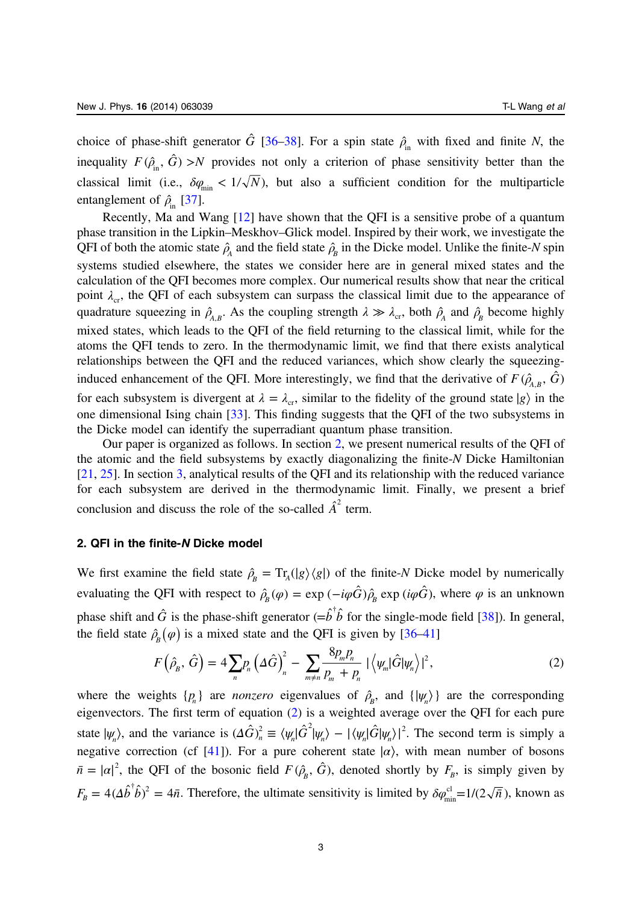<span id="page-2-0"></span>choice of phase-shift generator  $\hat{G}$  [\[36](#page-17-0)–[38\]](#page-17-0). For a spin state  $\hat{\rho}_{in}$  with fixed and finite N, the inequality  $F(\hat{\rho}_{in}, \hat{G}) > N$  provides not only a criterion of phase sensitivity better than the classical limit (i.e.,  $\delta \varphi_{\min} < 1/\sqrt{N}$ ), but also a sufficient condition for the multiparticle entanglement of  $\hat{\rho}_{\text{in}}$  [\[37](#page-17-0)].

Recently, Ma and Wang [\[12](#page-16-0)] have shown that the QFI is a sensitive probe of a quantum phase transition in the Lipkin–Meskhov–Glick model. Inspired by their work, we investigate the QFI of both the atomic state  $\hat{\rho}_A$  and the field state  $\hat{\rho}_B$  in the Dicke model. Unlike the finite-N spin systems studied elsewhere, the states we consider here are in general mixed states and the calculation of the QFI becomes more complex. Our numerical results show that near the critical point  $\lambda_{cr}$ , the QFI of each subsystem can surpass the classical limit due to the appearance of quadrature squeezing in  $\hat{\rho}_{A,B}$ . As the coupling strength  $\lambda \gg \lambda_{cr}$ , both  $\hat{\rho}_A$  and  $\hat{\rho}_B$  become highly mixed states, which leads to the QFI of the field returning to the classical limit, while for the atoms the QFI tends to zero. In the thermodynamic limit, we find that there exists analytical relationships between the QFI and the reduced variances, which show clearly the squeezinginduced enhancement of the QFI. More interestingly, we find that the derivative of  $F(\hat{\rho}_{AB}, \hat{G})$ for each subsystem is divergent at  $\lambda = \lambda_{cr}$ , similar to the fidelity of the ground state  $|g\rangle$  in the one dimensional Ising chain [[33\]](#page-16-0). This finding suggests that the QFI of the two subsystems in the Dicke model can identify the superradiant quantum phase transition.

Our paper is organized as follows. In section 2, we present numerical results of the QFI of the atomic and the field subsystems by exactly diagonalizing the finite-N Dicke Hamiltonian [[21,](#page-16-0) [25](#page-16-0)]. In section [3,](#page-8-0) analytical results of the QFI and its relationship with the reduced variance for each subsystem are derived in the thermodynamic limit. Finally, we present a brief conclusion and discuss the role of the so-called  $\hat{A}^2$  term.

#### 2. QFI in the finite-N Dicke model

We first examine the field state  $\hat{\rho}_R = Tr_A(|g\rangle\langle g|)$  of the finite-N Dicke model by numerically evaluating the QFI with respect to  $\hat{\rho}_R(\varphi) = \exp(-i\varphi \hat{G}) \hat{\rho}_R \exp(i\varphi \hat{G})$ , where  $\varphi$  is an unknown phase shift and  $\hat{G}$  is the phase-shift generator  $(=\hat{b}^\dagger \hat{b}$  for the single-mode field [[38\]](#page-17-0)). In general, the field state  $\hat{\rho}_{B}(\varphi)$  is a mixed state and the QFI is given by [[36](#page-17-0)–[41](#page-17-0)]

$$
F(\hat{\rho}_B, \hat{G}) = 4 \sum_n p_n \left(\Delta \hat{G}\right)_n^2 - \sum_{m \neq n} \frac{8p_m p_n}{p_m + p_n} \left| \left\langle \psi_m | \hat{G} | \psi_n \right\rangle \right|^2, \tag{2}
$$

where the weights  $\{p_n\}$  are *nonzero* eigenvalues of  $\hat{\rho}_B$ , and  $\{\ket{\psi_n}\}\$  are the corresponding eigenvectors. The first term of equation (2) is a weighted average over the QFI for each pure state  $|\psi_n\rangle$ , and the variance is  $(\Delta \hat{G})_n^2 \equiv \langle \psi_n | \hat{G}^2 | \psi_n \rangle - |\langle \psi_n | \hat{G} | \psi_n \rangle|^2$ . The second term is simply a negative correction (cf [[41\]](#page-17-0)). For a pure coherent state  $|a\rangle$ , with mean number of bosons  $\bar{n} = |\alpha|^2$ , the QFI of the bosonic field  $F(\hat{\rho}_B, \hat{G})$ , denoted shortly by  $F_B$ , is simply given by  $F_B = 4(\Delta \hat{b}^\dagger \hat{b})^2 = 4\bar{n}$ . Therefore, the ultimate sensitivity is limited by  $\delta \varphi_{\min}^{\text{cl}} = 1/(2\sqrt{\bar{n}})$ , known as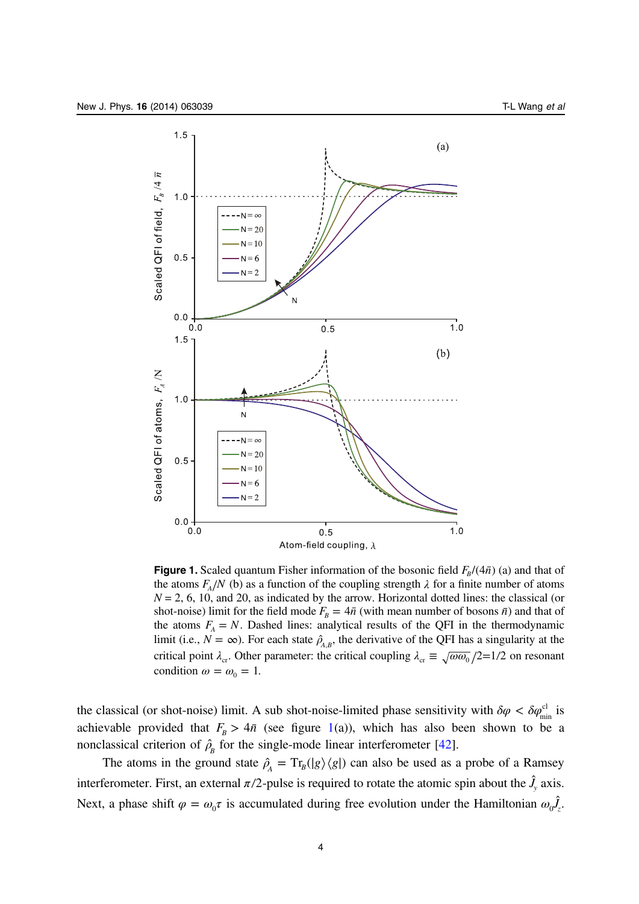<span id="page-3-0"></span>

**Figure 1.** Scaled quantum Fisher information of the bosonic field  $F_R/(4\bar{n})$  (a) and that of the atoms  $F_A/N$  (b) as a function of the coupling strength  $\lambda$  for a finite number of atoms  $N = 2, 6, 10,$  and 20, as indicated by the arrow. Horizontal dotted lines: the classical (or shot-noise) limit for the field mode  $F_B = 4\bar{n}$  (with mean number of bosons  $\bar{n}$ ) and that of the atoms  $F_A = N$ . Dashed lines: analytical results of the QFI in the thermodynamic limit (i.e.,  $N = \infty$ ). For each state  $\hat{\rho}_{A,B}$ , the derivative of the QFI has a singularity at the critical point  $\lambda_{cr}$ . Other parameter: the critical coupling  $\lambda_{cr} \equiv \sqrt{\omega \omega_0}/2 = 1/2$  on resonant condition  $\omega = \omega_0 = 1$ .

the classical (or shot-noise) limit. A sub shot-noise-limited phase sensitivity with  $\delta\varphi < \delta\varphi_{\min}^{cl}$  is achievable provided that  $F_B > 4\bar{n}$  (see figure 1(a)), which has also been shown to be a nonclassical criterion of  $\hat{\rho}_B$  for the single-mode linear interferometer [[42\]](#page-17-0).

The atoms in the ground state  $\hat{\rho}_A = Tr_B(|g\rangle \langle g|)$  can also be used as a probe of a Ramsey interferometer. First, an external  $\pi/2$ -pulse is required to rotate the atomic spin about the  $\hat{J}_y$  axis. Next, a phase shift  $\varphi = \omega_0 \tau$  is accumulated during free evolution under the Hamiltonian  $\omega_0 \hat{J}_z$ .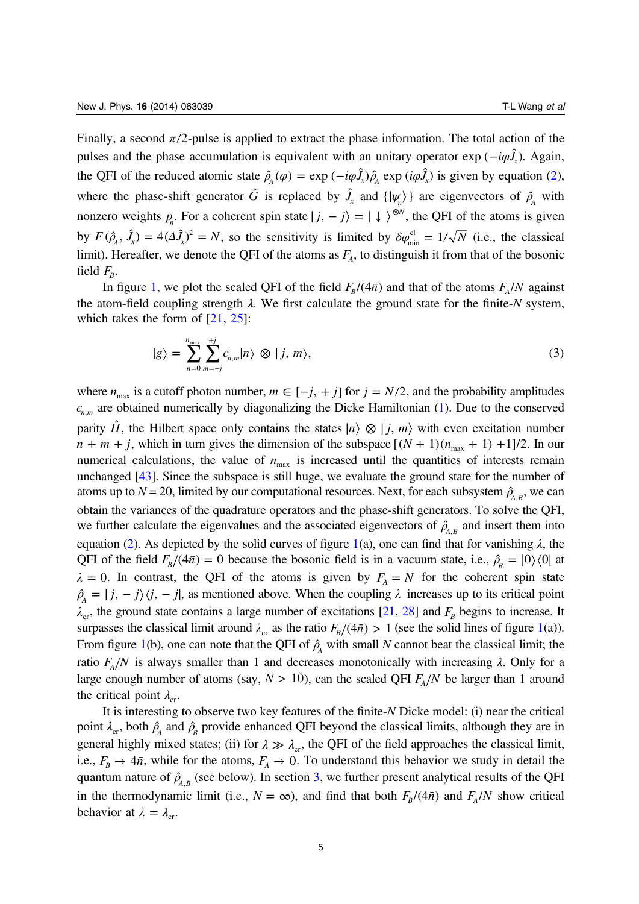Finally, a second  $\pi/2$ -pulse is applied to extract the phase information. The total action of the pulses and the phase accumulation is equivalent with an unitary operator exp ( $-iφλ$ ). Again, the QFI of the reduced atomic state  $\hat{\rho}_A(\varphi) = \exp(-i\varphi \hat{J}_x)\hat{\rho}_A \exp(i\varphi \hat{J}_x)$  is given by equation [\(2](#page-2-0)), where the phase-shift generator  $\hat{G}$  is replaced by  $\hat{J}_x$  and  $\{|\psi_n\rangle\}$  are eigenvectors of  $\hat{\rho}_A$  with nonzero weights  $p_n$ . For a coherent spin state  $|j, -j\rangle = | \downarrow \rangle^{\otimes N}$ , the QFI of the atoms is given by  $F(\hat{\rho}_A, \hat{J}_x) = 4(\Delta \hat{J}_x)^2 = N$ , so the sensitivity is limited by  $\delta \varphi_{\min}^{\text{cl}} = 1/\sqrt{N}$  (i.e., the classical limit). Hereafter, we denote the QFI of the atoms as  $F_A$ , to distinguish it from that of the bosonic field  $F_B$ .

In figure [1](#page-3-0), we plot the scaled QFI of the field  $F_B/(4\bar{n})$  and that of the atoms  $F_A/N$  against the atom-field coupling strength  $\lambda$ . We first calculate the ground state for the finite-N system, which takes the form of  $[21, 25]$  $[21, 25]$  $[21, 25]$  $[21, 25]$ :

$$
|g\rangle = \sum_{n=0}^{n_{\text{max}}} \sum_{m=-j}^{+j} c_{n,m} |n\rangle \otimes |j, m\rangle, \qquad (3)
$$

where  $n_{\text{max}}$  is a cutoff photon number,  $m \in [-j, +j]$  for  $j = N/2$ , and the probability amplitudes  $c_{n,m}$  are obtained numerically by diagonalizing the Dicke Hamiltonian ([1](#page-1-0)). Due to the conserved parity  $\hat{\Pi}$ , the Hilbert space only contains the states  $|n\rangle \otimes |j, m\rangle$  with even excitation number  $n + m + j$ , which in turn gives the dimension of the subspace  $[(N + 1)(n_{\text{max}} + 1) +1]/2$ . In our numerical calculations, the value of  $n_{\text{max}}$  is increased until the quantities of interests remain unchanged [[43](#page-17-0)]. Since the subspace is still huge, we evaluate the ground state for the number of atoms up to  $N = 20$ , limited by our computational resources. Next, for each subsystem  $\hat{\rho}_{A,B}$ , we can obtain the variances of the quadrature operators and the phase-shift generators. To solve the QFI, we further calculate the eigenvalues and the associated eigenvectors of  $\hat{\rho}_{A,B}$  and insert them into equation ([2\)](#page-2-0). As depicted by the solid curves of figure [1](#page-3-0)(a), one can find that for vanishing  $\lambda$ , the QFI of the field  $F_B/(4\bar{n}) = 0$  because the bosonic field is in a vacuum state, i.e.,  $\hat{\rho}_B = |0\rangle\langle 0|$  at  $\lambda = 0$ . In contrast, the QFI of the atoms is given by  $F_A = N$  for the coherent spin state  $\hat{\rho}_A = |j, -j\rangle\langle j, -j|$ , as mentioned above. When the coupling  $\lambda$  increases up to its critical point  $\lambda_c$ , the ground state contains a large number of excitations [[21](#page-16-0), [28\]](#page-16-0) and  $F_B$  begins to increase. It surpasses the classical limit around  $\lambda_{cr}$  as the ratio  $F_B/(4\bar{n}) > 1$  (see the solid lines of figure [1\(](#page-3-0)a)). From figure [1](#page-3-0)(b), one can note that the QFI of  $\hat{\rho}_A$  with small N cannot beat the classical limit; the ratio  $F_A/N$  is always smaller than 1 and decreases monotonically with increasing  $\lambda$ . Only for a large enough number of atoms (say,  $N > 10$ ), can the scaled QFI  $F_A/N$  be larger than 1 around the critical point  $\lambda_{cr}$ .

It is interesting to observe two key features of the finite-N Dicke model: (i) near the critical point  $\lambda_{cr}$ , both  $\hat{\rho}_A$  and  $\hat{\rho}_B$  provide enhanced QFI beyond the classical limits, although they are in general highly mixed states; (ii) for  $\lambda \gg \lambda_c$ , the QFI of the field approaches the classical limit, i.e.,  $F_B \rightarrow 4\bar{n}$ , while for the atoms,  $F_A \rightarrow 0$ . To understand this behavior we study in detail the quantum nature of  $\hat{\rho}_{A,B}$  (see below). In section [3](#page-8-0), we further present analytical results of the QFI in the thermodynamic limit (i.e.,  $N = \infty$ ), and find that both  $F_R/(4\bar{n})$  and  $F_A/N$  show critical behavior at  $\lambda = \lambda_{cr}$ .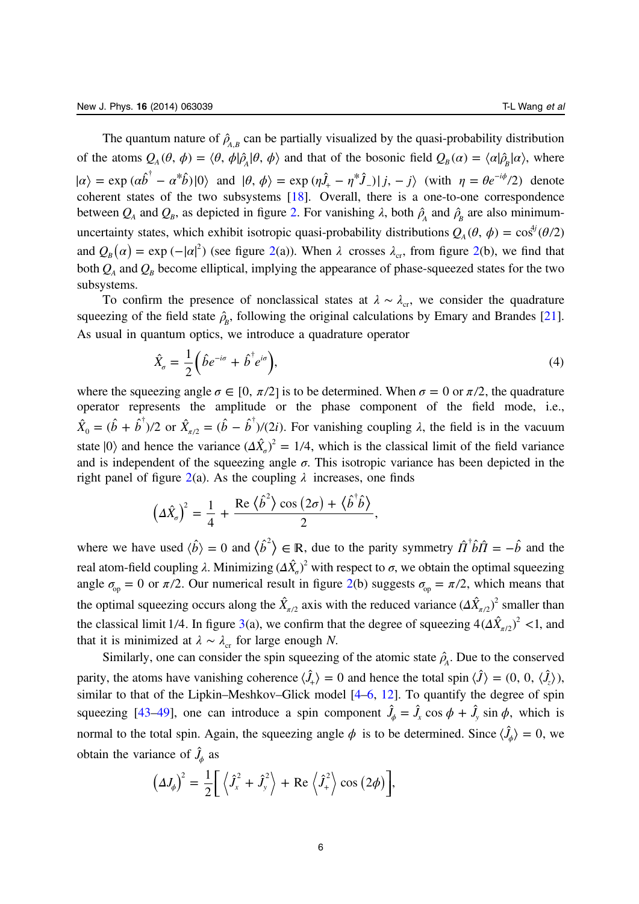<span id="page-5-0"></span>The quantum nature of  $\hat{\rho}_{A,B}$  can be partially visualized by the quasi-probability distribution of the atoms  $Q_{A}(\theta, \phi) = \langle \theta, \phi | \hat{\rho}_{A} | \theta, \phi \rangle$  and that of the bosonic field  $Q_{B}(\alpha) = \langle \alpha | \hat{\rho}_{B} | \alpha \rangle$ , where  $|\alpha\rangle = \exp(\alpha \hat{b}^{\dagger} - \alpha^* \hat{b})|0\rangle$  and  $|\theta, \phi\rangle = \exp(\eta \hat{J}_+ - \eta^* \hat{J}_-) |j, -j\rangle$  (with  $\eta = \theta e^{-i\phi/2}$ ) denote coherent states of the two subsystems [\[18](#page-16-0)]. Overall, there is a one-to-one correspondence between  $Q_A$  and  $Q_B$ , as depicted in figure [2.](#page-6-0) For vanishing  $\lambda$ , both  $\hat{\rho}_A$  and  $\hat{\rho}_B$  are also minimumuncertainty states, which exhibit isotropic quasi-probability distributions  $Q_A(\theta, \phi) = \cos^{4j}(\theta/2)$ and  $Q_B(\alpha) = \exp(-|\alpha|^2)$  $Q_B(\alpha) = \exp(-|\alpha|^2)$  $Q_B(\alpha) = \exp(-|\alpha|^2)$  (see figure 2(a)). When  $\lambda$  crosses  $\lambda_{cr}$ , from figure 2(b), we find that both  $Q_A$  and  $Q_B$  become elliptical, implying the appearance of phase-squeezed states for the two subsystems.

To confirm the presence of nonclassical states at  $\lambda \sim \lambda_{cr}$ , we consider the quadrature squeezing of the field state  $\hat{\rho}_B$ , following the original calculations by Emary and Brandes [\[21](#page-16-0)]. As usual in quantum optics, we introduce a quadrature operator

$$
\hat{X}_{\sigma} = \frac{1}{2} \left( \hat{b} e^{-i\sigma} + \hat{b}^{\dagger} e^{i\sigma} \right),\tag{4}
$$

where the squeezing angle  $\sigma \in [0, \pi/2]$  is to be determined. When  $\sigma = 0$  or  $\pi/2$ , the quadrature operator represents the amplitude or the phase component of the field mode, i.e.,  $\hat{X}_0 = (\hat{b} + \hat{b}^{\dagger})/2$  or  $\hat{X}_{\pi/2} = (\hat{b} - \hat{b}^{\dagger})/(2i)$ . For vanishing coupling  $\lambda$ , the field is in the vacuum state  $|0\rangle$  and hence the variance  $(\Delta \hat{X}_\sigma)^2 = 1/4$ , which is the classical limit of the field variance and is independent of the squeezing angle  $\sigma$ . This isotropic variance has been depicted in the right panel of figure [2](#page-6-0)(a). As the coupling  $\lambda$  increases, one finds

$$
\left(\Delta \hat{X}_{\sigma}\right)^{2} = \frac{1}{4} + \frac{\text{Re}\left\langle \hat{b}^{2}\right\rangle \cos\left(2\sigma\right) + \left\langle \hat{b}^{\dagger}\hat{b}\right\rangle}{2},
$$

where we have used  $\langle \hat{b} \rangle = 0$  and  $\langle \hat{b}^2 \rangle \in \mathbb{R}$ , due to the parity symmetry  $\hat{\Pi}^{\dagger} \hat{b} \hat{\Pi} = -\hat{b}$  and the real atom-field coupling λ. Minimizing  $(Δ\hat{X})^2$  with respect to  $σ$ , we obtain the optimal squeezing angle  $\sigma_{op} = 0$  or  $\pi/2$  $\pi/2$ . Our numerical result in figure 2(b) suggests  $\sigma_{op} = \pi/2$ , which means that the optimal squeezing occurs along the  $\hat{X}_{\pi/2}$  axis with the reduced variance  $(\Delta \hat{X}_{\pi/2})^2$  smaller than the classical limit 1/4. In figure [3\(](#page-7-0)a), we confirm that the degree of squeezing  $4(\Delta \hat{X}_{\pi/2})^2 < 1$ , and that it is minimized at  $\lambda \sim \lambda_{cr}$  for large enough N.

Similarly, one can consider the spin squeezing of the atomic state  $\hat{\rho}_A$ . Due to the conserved parity, the atoms have vanishing coherence  $\langle \hat{J}_+ \rangle = 0$  and hence the total spin  $\langle \hat{J} \rangle = (0, 0, \langle \hat{J}_z \rangle)$ , similar to that of the Lipkin–Meshkov–Glick model [[4](#page-16-0)–[6](#page-16-0), [12](#page-16-0)]. To quantify the degree of spin squeezing [[43](#page-17-0)–[49](#page-17-0)], one can introduce a spin component  $\hat{J}_\phi = \hat{J}_r \cos \phi + \hat{J}_r \sin \phi$ , which is normal to the total spin. Again, the squeezing angle  $\phi$  is to be determined. Since  $\langle \hat{J}_\phi \rangle = 0$ , we obtain the variance of  $\hat{J}_{\phi}$  as

$$
\left(\Delta J_{\phi}\right)^{2} = \frac{1}{2}\bigg[\left\langle \hat{J}_{x}^{2} + \hat{J}_{y}^{2}\right\rangle + \text{Re}\left\langle \hat{J}_{+}^{2}\right\rangle \cos\left(2\phi\right)\bigg],
$$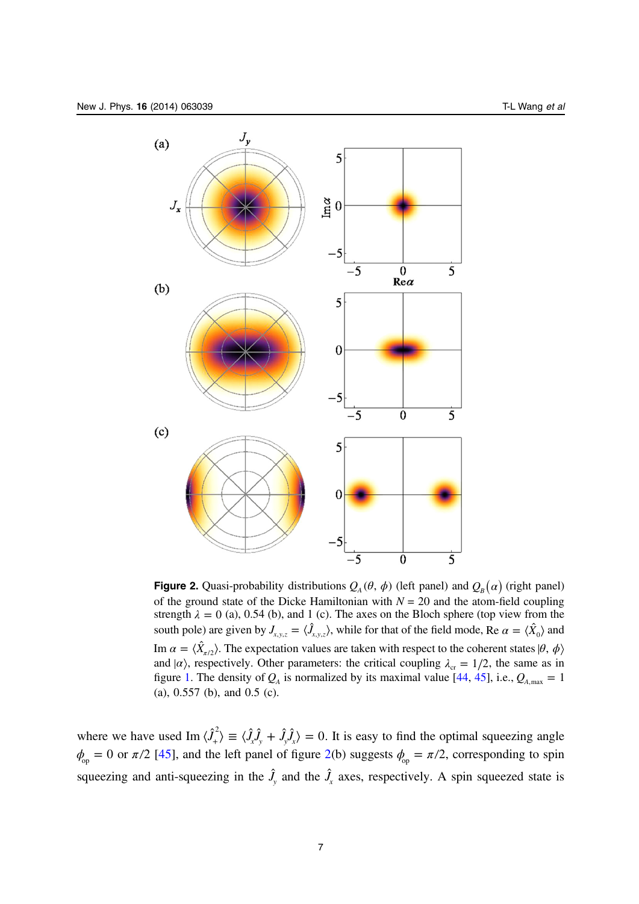<span id="page-6-0"></span>

**Figure 2.** Quasi-probability distributions  $Q_A(\theta, \phi)$  (left panel) and  $Q_B(\alpha)$  (right panel) of the ground state of the Dicke Hamiltonian with  $N = 20$  and the atom-field coupling strength  $\lambda = 0$  (a), 0.54 (b), and 1 (c). The axes on the Bloch sphere (top view from the south pole) are given by  $J_{x,y,z} = \langle \hat{J}_{x,y,z} \rangle$ , while for that of the field mode, Re  $\alpha = \langle \hat{X}_0 \rangle$  and *Im*  $\alpha = \langle \hat{X}_{\pi/2} \rangle$ *. The expectation values are taken with respect to the coherent states*  $|\theta, \phi \rangle$ and  $\alpha$ , respectively. Other parameters: the critical coupling  $\lambda_{cr} = 1/2$ , the same as in figure [1](#page-3-0). The density of  $Q_A$  is normalized by its maximal value [\[44](#page-17-0), [45](#page-17-0)], i.e.,  $Q_{A,max} = 1$ (a), 0.557 (b), and 0.5 (c).

where we have used Im  $\langle \hat{J}_x^2 \rangle \equiv \langle \hat{J}_x \hat{J}_y + \hat{J}_y \hat{J}_x \rangle = 0$ . It is easy to find the optimal squeezing angle  $\phi_{\text{op}} = 0$  or  $\pi/2$  [[45\]](#page-17-0), and the left panel of figure 2(b) suggests  $\phi_{\text{op}} = \pi/2$ , corresponding to spin squeezing and anti-squeezing in the  $\hat{J}_y$  and the  $\hat{J}_x$  axes, respectively. A spin squeezed state is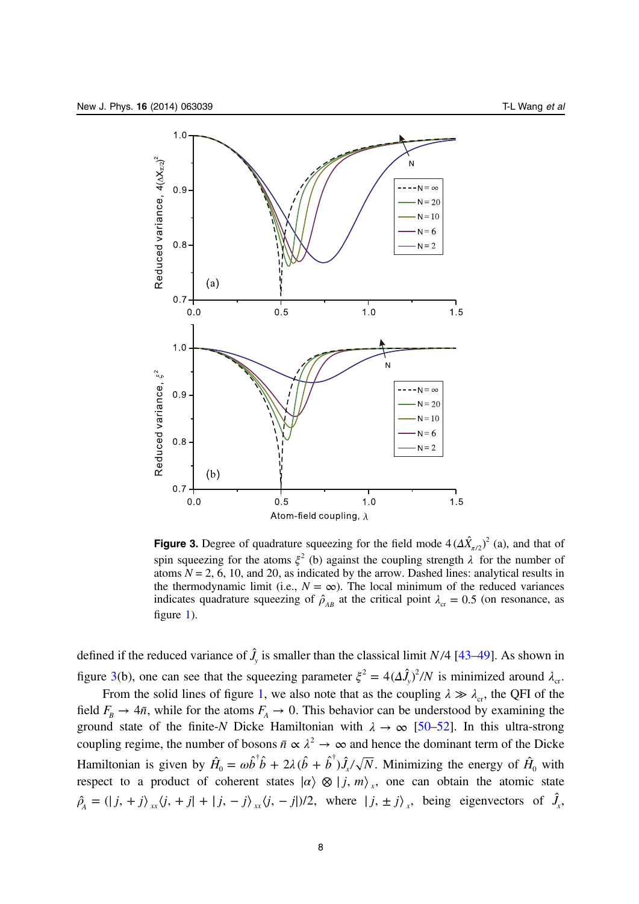<span id="page-7-0"></span>

**Figure 3.** Degree of quadrature squeezing for the field mode  $4(\Delta \hat{X}_{\pi/2})^2$  (a), and that of spin squeezing for the atoms  $\xi^2$  (b) against the coupling strength  $\lambda$  for the number of atoms  $N = 2, 6, 10,$  and 20, as indicated by the arrow. Dashed lines: analytical results in the thermodynamic limit (i.e.,  $N = \infty$ ). The local minimum of the reduced variances indicates quadrature squeezing of  $\hat{\rho}_{AB}$  at the critical point  $\lambda_{cr} = 0.5$  (on resonance, as figure [1\)](#page-3-0).

defined if the reduced variance of  $\hat{J}_y$  is smaller than the classical limit *N*/4 [\[43](#page-17-0)–[49\]](#page-17-0). As shown in figure 3(b), one can see that the squeezing parameter  $\xi^2 = 4(\Delta \hat{J}_y)^2/N$  is minimized around  $\lambda_{cr}$ .

From the solid lines of figure [1](#page-3-0), we also note that as the coupling  $\lambda \gg \lambda_{cr}$ , the QFI of the field  $F_B \rightarrow 4\bar{n}$ , while for the atoms  $F_A \rightarrow 0$ . This behavior can be understood by examining the ground state of the finite-N Dicke Hamiltonian with  $\lambda \to \infty$  [\[50](#page-17-0)–[52](#page-17-0)]. In this ultra-strong coupling regime, the number of bosons  $\bar{n} \propto \lambda^2 \to \infty$  and hence the dominant term of the Dicke Hamiltonian is given by  $\hat{H}_0 = \omega \hat{b}^\dagger \hat{b} + 2\lambda (\hat{b} + \hat{b}^\dagger) \hat{J}_x/\sqrt{N}$ . Minimizing the energy of  $\hat{H}_0$  with respect to a product of coherent states  $|a\rangle \otimes |j, m\rangle_x$ , one can obtain the atomic state  $\hat{\rho}_A = (|j, +j\rangle)_x \hat{i}(j, +j| + |j, -j\rangle)_x \hat{j}(j, -j|)/2$ , where  $|j, \pm j\rangle_x$ , being eigenvectors of  $\hat{J}_x$ ,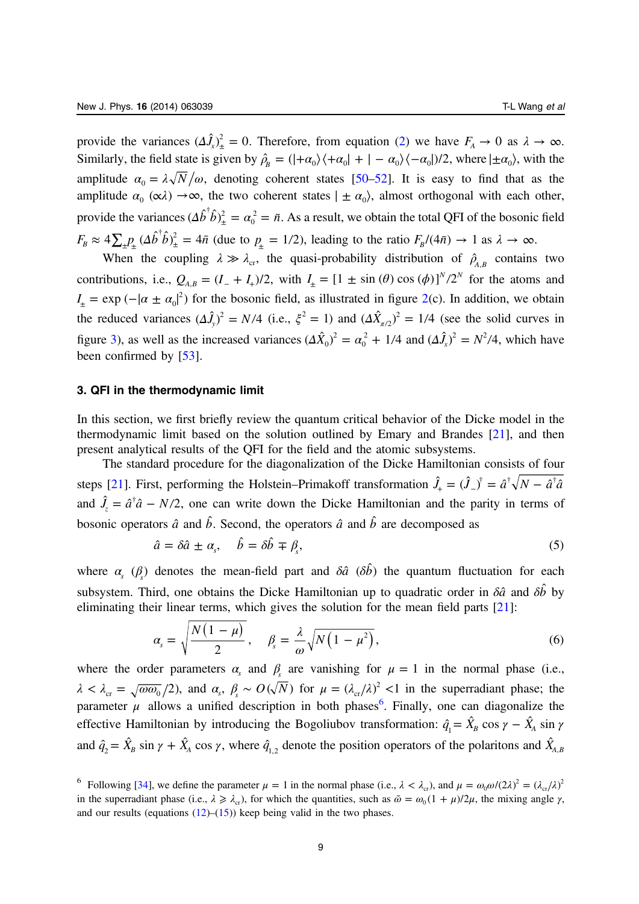<span id="page-8-0"></span>provide the variances  $(\Delta \hat{J}_x)^2 = 0$ . Therefore, from equation ([2\)](#page-2-0) we have  $F_A \to 0$  as  $\lambda \to \infty$ . Similarly, the field state is given by  $\hat{\rho}_B = (|\pm \alpha_0\rangle \langle +\alpha_0| + |-\alpha_0\rangle \langle -\alpha_0|)/2$ , where  $|\pm \alpha_0\rangle$ , with the amplitude  $\alpha_0 = \lambda \sqrt{N}/\omega$ , denoting coherent states [\[50](#page-17-0)–[52](#page-17-0)]. It is easy to find that as the amplitude  $\alpha_0 (\alpha \lambda) \rightarrow \infty$ , the two coherent states  $| \pm \alpha_0 \rangle$ , almost orthogonal with each other, provide the variances  $(\Delta \hat{b}^\dagger \hat{b})^2_{\pm} = \alpha_0^2 = \bar{n}$ . As a result, we obtain the total QFI of the bosonic field  $F_B \approx 4 \sum_{\pm} P_{\pm} (\Delta \hat{b}^{\dagger} \hat{b})^2_{\pm} = 4 \bar{n}$  (due to  $p_{\pm} = 1/2$ ), leading to the ratio  $F_B/(4 \bar{n}) \to 1$  as  $\lambda \to \infty$ .

When the coupling  $\lambda \gg \lambda_{cr}$ , the quasi-probability distribution of  $\hat{\rho}_{A,B}$  contains two contributions, i.e.,  $Q_{A,B} = (I_+ + I_+)/2$ , with  $I_+ = [1 \pm \sin(\theta) \cos(\phi)]^{N/2^N}$  for the atoms and  $I_{\pm} = \exp(-|\alpha \pm \alpha_0|^2)$  $I_{\pm} = \exp(-|\alpha \pm \alpha_0|^2)$  $I_{\pm} = \exp(-|\alpha \pm \alpha_0|^2)$  for the bosonic field, as illustrated in figure 2(c). In addition, we obtain the reduced variances  $(\Delta \hat{J}_y)^2 = N/4$  (i.e.,  $\xi^2 = 1$ ) and  $(\Delta \hat{X}_{\pi/2})^2 = 1/4$  (see the solid curves in figure [3\)](#page-7-0), as well as the increased variances  $(\Delta \hat{X}_0)^2 = \alpha_0^2 + 1/4$  $\int_0^2 + 1/4$  and  $(\Delta \hat{J}_x)^2 = N^2/4$ , which have been confirmed by [[53\]](#page-17-0).

#### 3. QFI in the thermodynamic limit

In this section, we first briefly review the quantum critical behavior of the Dicke model in the thermodynamic limit based on the solution outlined by Emary and Brandes [\[21](#page-16-0)], and then present analytical results of the QFI for the field and the atomic subsystems.

The standard procedure for the diagonalization of the Dicke Hamiltonian consists of four steps [[21\]](#page-16-0). First, performing the Holstein–Primakoff transformation  $\hat{J}_+ = (\hat{J}_-)^{\dagger} = \hat{a}^{\dagger} \sqrt{N} - \hat{a}^{\dagger} \hat{a}$ and  $\hat{J}_z = \hat{a}^\dagger \hat{a} - N/2$ , one can write down the Dicke Hamiltonian and the parity in terms of bosonic operators  $\hat{a}$  and  $\hat{b}$ . Second, the operators  $\hat{a}$  and  $\hat{b}$  are decomposed as

$$
\hat{a} = \delta \hat{a} \pm \alpha_s, \quad \hat{b} = \delta \hat{b} \mp \beta_s,
$$
\n<sup>(5)</sup>

where  $\alpha_s$  ( $\beta_s$ ) denotes the mean-field part and  $\delta \hat{a}$  ( $\delta \hat{b}$ ) the quantum fluctuation for each subsystem. Third, one obtains the Dicke Hamiltonian up to quadratic order in  $\delta \hat{a}$  and  $\delta \hat{b}$  by eliminating their linear terms, which gives the solution for the mean field parts [\[21](#page-16-0)]:

$$
\alpha_s = \sqrt{\frac{N(1-\mu)}{2}}, \quad \beta_s = \frac{\lambda}{\omega} \sqrt{N(1-\mu^2)}, \tag{6}
$$

where the order parameters  $\alpha_s$  and  $\beta_s$  are vanishing for  $\mu = 1$  in the normal phase (i.e.,  $\lambda < \lambda_{cr} = \sqrt{\omega \omega_0}/2$ , and  $\alpha_s$ ,  $\beta_s \sim O(\sqrt{N})$  for  $\mu = (\lambda_{cr}/\lambda)^2 < 1$  in the superradiant phase; the parameter  $\mu$  allows a unified description in both phases<sup>6</sup>. Finally, one can diagonalize the effective Hamiltonian by introducing the Bogoliubov transformation:  $\hat{q}_1 = \hat{X}_B \cos \gamma - \hat{X}_A \sin \gamma$ and  $\hat{q}_2 = \hat{X}_B \sin \gamma + \hat{X}_A \cos \gamma$ , where  $\hat{q}_{1,2}$  denote the position operators of the polaritons and  $\hat{X}_{A,B}$ 

<sup>&</sup>lt;sup>6</sup> Following [\[34](#page-17-0)], we define the parameter  $\mu = 1$  in the normal phase (i.e.,  $\lambda < \lambda_{cr}$ ), and  $\mu = \omega_0 \omega/(2\lambda)^2 = (\lambda_{cr}/\lambda)^2$ in the superradiant phase (i.e.,  $\lambda \ge \lambda_{cr}$ ), for which the quantities, such as  $\tilde{\omega} = \omega_0 (1 + \mu)/2\mu$ , the mixing angle  $\gamma$ , and our results (equations  $(12)$  $(12)$ – $(15)$  $(15)$ ) keep being valid in the two phases.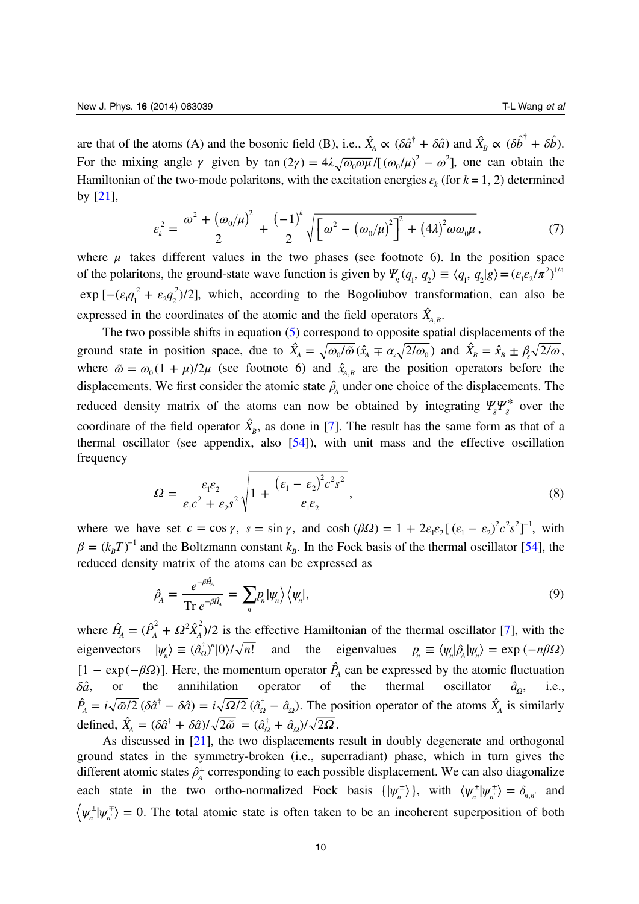<span id="page-9-0"></span>are that of the atoms (A) and the bosonic field (B), i.e.,  $\hat{X}_A \propto (\delta \hat{a}^{\dagger} + \delta \hat{a})$  and  $\hat{X}_B \propto (\delta \hat{b}^{\dagger} + \delta \hat{b})$ . For the mixing angle  $\gamma$  given by tan  $(2\gamma) = 4\lambda \sqrt{\omega_0 \omega \mu}/[(\omega_0/\mu)^2 - \omega^2]$ , one can obtain the Hamiltonian of the two-mode polaritons, with the excitation energies  $\varepsilon_k$  (for  $k = 1, 2$ ) determined by [[21](#page-16-0)],

$$
\varepsilon_{k}^{2} = \frac{\omega^{2} + (\omega_{0}/\mu)^{2}}{2} + \frac{(-1)^{k}}{2} \sqrt{\left[\omega^{2} - (\omega_{0}/\mu)^{2}\right]^{2} + (4\lambda)^{2} \omega \omega_{0}\mu},
$$
\n(7)

where  $\mu$  takes different values in the two phases (see footnote 6). In the position space of the polaritons, the ground-state wave function is given by  $\Psi_g(q_1, q_2) \equiv \langle q_1, q_2 | g \rangle = (\varepsilon_1 \varepsilon_2/\pi^2)^{1/4}$  $\exp\left[-(\varepsilon_1 q_1^2 + \varepsilon_2 q_2^2)/2\right]$  $\frac{2q_2^2}{2q_2^2}$  which, according to the Bogoliubov transformation, can also be expressed in the coordinates of the atomic and the field operators  $\hat{X}_{A,B}$ .

The two possible shifts in equation ([5](#page-8-0)) correspond to opposite spatial displacements of the ground state in position space, due to  $\hat{X}_A = \sqrt{\omega_0/\tilde{\omega}} (\hat{x}_A \mp \alpha_s \sqrt{2/\omega_0})$  and  $\hat{X}_B = \hat{x}_B \pm \beta_s \sqrt{2/\omega_0}$ , where  $\tilde{\omega} = \omega_0 (1 + \mu)/2\mu$  (see footnote 6) and  $\hat{x}_{A,B}$  are the position operators before the displacements. We first consider the atomic state  $\hat{\rho}_A$  under one choice of the displacements. The reduced density matrix of the atoms can now be obtained by integrating  $\psi_g \psi_g^*$  over the coordinate of the field operator  $\hat{X}_B$ , as done in [[7\]](#page-16-0). The result has the same form as that of a thermal oscillator (see appendix, also [[54\]](#page-17-0)), with unit mass and the effective oscillation frequency

$$
\Omega = \frac{\varepsilon_1 \varepsilon_2}{\varepsilon_1 c^2 + \varepsilon_2 s^2} \sqrt{1 + \frac{(\varepsilon_1 - \varepsilon_2)^2 c^2 s^2}{\varepsilon_1 \varepsilon_2}},
$$
\n(8)

where we have set  $c = \cos \gamma$ ,  $s = \sin \gamma$ , and  $\cosh (\beta \Omega) = 1 + 2\varepsilon_1 \varepsilon_2 [(\varepsilon_1 - \varepsilon_2)^2 c^2 s^2]^{-1}$ , with  $\beta = (k_B T)^{-1}$  and the Boltzmann constant  $k_B$ . In the Fock basis of the thermal oscillator [\[54](#page-17-0)], the reduced density matrix of the atoms can be expressed as

$$
\hat{\rho}_A = \frac{e^{-\beta \hat{H}_A}}{\text{Tr } e^{-\beta \hat{H}_A}} = \sum_n p_n |\psi_n\rangle \langle \psi_n|,\tag{9}
$$

where  $\hat{H}_A = (\hat{P}_A^2 + \Omega^2 \hat{X}_A^2)/2$  is the effective Hamiltonian of the thermal oscillator [[7\]](#page-16-0), with the  $eigenvectors \quad |\psi_n\rangle \equiv (\hat{a}_{\Omega}^{\dagger})^n |0\rangle / \sqrt{n!}$  and the eigenvalues  $p_n \equiv \langle \psi_n | \hat{\rho}_A | \psi_n \rangle = \exp(-n\beta\Omega)$  $[1 - \exp(-\beta \Omega)]$ . Here, the momentum operator  $\hat{P}_A$  can be expressed by the atomic fluctuation  $\delta \hat{a}$ , or the annihilation operator of the thermal oscillator  $\hat{a}_0$ , i.e.,  $\hat{P}_A = i\sqrt{\tilde{\omega}/2} (\delta \hat{a}^\dagger - \delta \hat{a}) = i\sqrt{\Omega/2} (\hat{a}_\Omega^\dagger - \hat{a}_\Omega)$ . The position operator of the atoms  $\hat{X}_A$  is similarly defined,  $\hat{X}_A = (\delta \hat{a}^\dagger + \delta \hat{a})/\sqrt{2\tilde{\omega}} = (\hat{a}_\Omega^\dagger + \hat{a}_\Omega)/\sqrt{2\Omega}$ .

As discussed in [\[21](#page-16-0)], the two displacements result in doubly degenerate and orthogonal ground states in the symmetry-broken (i.e., superradiant) phase, which in turn gives the different atomic states  $\hat{\rho}_A^{\pm}$  corresponding to each possible displacement. We can also diagonalize each state in the two ortho-normalized Fock basis  $\{|\psi_n^{\pm}\rangle\}$ , with  $\langle \psi_n^{\pm}|\psi_n^{\pm}\rangle = \delta_{n,n'}$  and  $\psi_n^{\pm}|\psi_n^{\mp}\rangle = 0$ . The total atomic state is often taken to be an incoherent superposition of both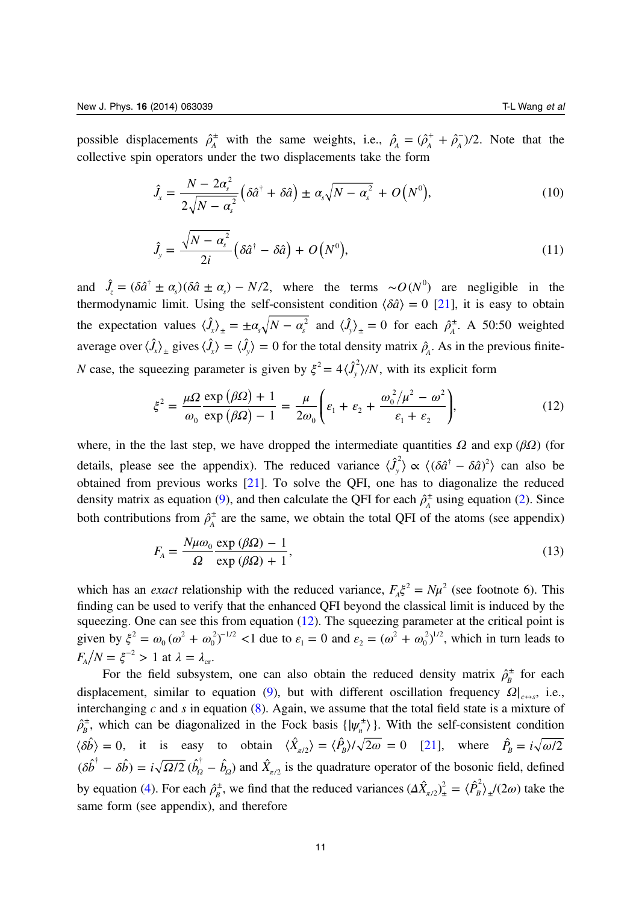<span id="page-10-0"></span>possible displacements  $\hat{\rho}_A^{\pm}$  with the same weights, i.e.,  $\hat{\rho}_A = (\hat{\rho}_A^+ + \hat{\rho}_A^-)/2$ . Note that the collective spin operators under the two displacements take the form

$$
\hat{J}_x = \frac{N - 2\alpha_s^2}{2\sqrt{N - \alpha_s^2}} \left( \delta \hat{a}^\dagger + \delta \hat{a} \right) \pm \alpha_s \sqrt{N - \alpha_s^2} + O\left(N^0\right),\tag{10}
$$

$$
\hat{J}_y = \frac{\sqrt{N - \alpha_s^2}}{2i} \left( \delta \hat{a}^\dagger - \delta \hat{a} \right) + O\left(N^0\right),\tag{11}
$$

and  $\hat{J}_z = (\delta \hat{a}^\dagger \pm \alpha_s)(\delta \hat{a} \pm \alpha_s) - N/2$ , where the terms ∼ $O(N^0)$  are negligible in the thermodynamic limit. Using the self-consistent condition  $\langle \delta \hat{a} \rangle = 0$  [\[21](#page-16-0)], it is easy to obtain the expectation values  $\langle \hat{J}_x \rangle_{\pm} = \pm \alpha_s \sqrt{N - \alpha_s^2}$  and  $\langle \hat{J}_y \rangle_{\pm} = 0$  for each  $\hat{\rho}_A^{\pm}$ . A 50:50 weighted average over  $\langle \hat{J}_x \rangle$  gives  $\langle \hat{J}_x \rangle = \langle \hat{J}_y \rangle = 0$  for the total density matrix  $\hat{\rho}_A$ . As in the previous finite-*N* case, the squeezing parameter is given by  $\xi^2 = 4\langle \hat{J}_y^2 \rangle/N$ , with its explicit form

$$
\xi^2 = \frac{\mu\Omega}{\omega_0} \frac{\exp\left(\beta\Omega\right) + 1}{\exp\left(\beta\Omega\right) - 1} = \frac{\mu}{2\omega_0} \left(\varepsilon_1 + \varepsilon_2 + \frac{\omega_0^2/\mu^2 - \omega^2}{\varepsilon_1 + \varepsilon_2}\right),\tag{12}
$$

where, in the the last step, we have dropped the intermediate quantities *Ω* and exp (*βΩ*) (for details, please see the appendix). The reduced variance  $\langle \hat{J}_y^2 \rangle \propto \langle (\delta \hat{a}^\dagger - \delta \hat{a})^2 \rangle$  can also be obtained from previous works [[21](#page-16-0)]. To solve the QFI, one has to diagonalize the reduced density matrix as equation [\(9](#page-9-0)), and then calculate the QFI for each  $\hat{\rho}_A^{\pm}$  using equation ([2\)](#page-2-0). Since both contributions from  $\hat{\rho}_A^{\pm}$  are the same, we obtain the total QFI of the atoms (see appendix)

$$
F_{A} = \frac{N\mu\omega_{0}}{\Omega} \frac{\exp(\beta\Omega) - 1}{\exp(\beta\Omega) + 1},
$$
\n(13)

which has an *exact* relationship with the reduced variance,  $F_A \xi^2 = N \mu^2$  (see footnote 6). This finding can be used to verify that the enhanced QFI beyond the classical limit is induced by the squeezing. One can see this from equation (12). The squeezing parameter at the critical point is given by  $\xi^2 = \omega_0 (\omega^2 + \omega_0^2)^{-1/2}$  <1 2  $\int_0^2 e^{2}$  <1 due to  $\varepsilon_1 = 0$  and  $\varepsilon_2 = (\omega^2 + \omega_0^2)$  $\overline{0}$  $^{2}_{12}$ <sup>1/2</sup>, which in turn leads to  $F_A/N = \xi^{-2} > 1$  at  $\lambda = \lambda_{cr}$ .

For the field subsystem, one can also obtain the reduced density matrix  $\rho_B^{\pm}$  for each displacement, similar to equation ([9\)](#page-9-0), but with different oscillation frequency  $\Omega|_{c \to s}$ , i.e., interchanging  $c$  and  $s$  in equation ([8\)](#page-9-0). Again, we assume that the total field state is a mixture of  $\rho_B^{\pm}$ , which can be diagonalized in the Fock basis  $\{\psi_n^{\pm}\}\$ . With the self-consistent condition  $\langle \hat{b} \rangle = 0$ , it is easy to obtain  $\langle \hat{X}_{\pi/2} \rangle = \langle \hat{P}_B \rangle / \sqrt{2\omega} = 0$  [\[21](#page-16-0)], where  $\hat{P}_B = i \sqrt{\omega/2}$  $(\delta \hat{b}^{\dagger} - \delta \hat{b}) = i \sqrt{\Omega/2} (\hat{b}_{\Omega}^{\dagger} - \hat{b}_{\Omega})$  and  $\hat{X}_{\pi/2}$  is the quadrature operator of the bosonic field, defined by equation ([4\)](#page-5-0). For each  $\hat{\rho}_B^{\pm}$ , we find that the reduced variances  $(\Delta \hat{X}_{\pi/2})^2_{\pm} = \langle \hat{P}_B^2 \rangle_{\pm}/(2\omega)$  take the same form (see appendix), and therefore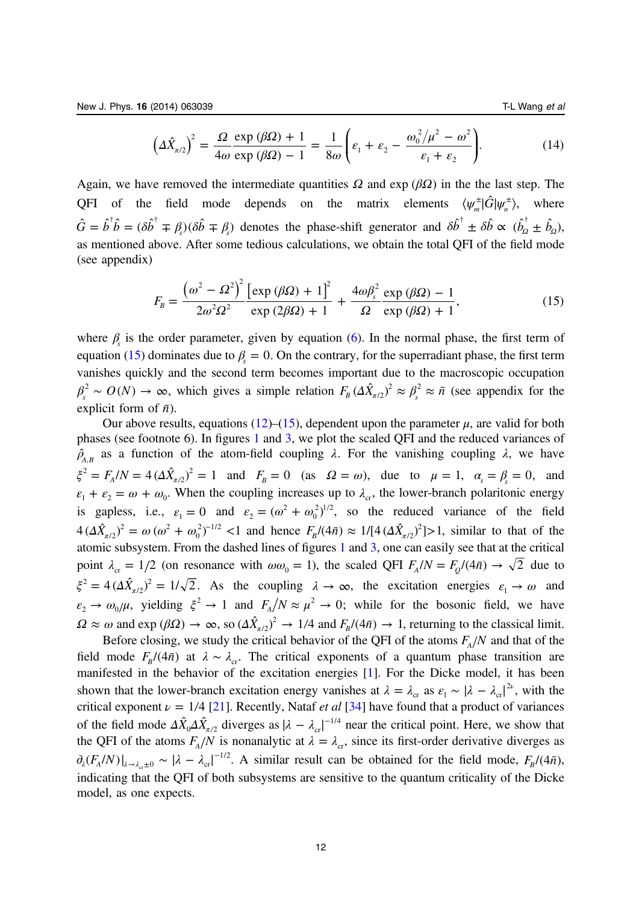$$
\left(\Delta\hat{X}_{\pi/2}\right)^2 = \frac{\Omega}{4\omega} \frac{\exp\left(\beta\Omega\right) + 1}{\exp\left(\beta\Omega\right) - 1} = \frac{1}{8\omega} \left(\varepsilon_1 + \varepsilon_2 - \frac{\omega_0^2/\mu^2 - \omega^2}{\varepsilon_1 + \varepsilon_2}\right).
$$
 (14)

<span id="page-11-0"></span>Again, we have removed the intermediate quantities *Ω* and exp ( $βΩ$ ) in the the last step. The QFI of the field mode depends on the matrix elements  $\langle \psi_m^{\pm} | \hat{G} | \psi_n^{\pm} \rangle$ , where  $\hat{G} = \hat{b}^{\dagger} \hat{b} = (\delta \hat{b}^{\dagger} \mp \beta_s)(\delta \hat{b} \mp \beta_s)$  denotes the phase-shift generator and  $\delta \hat{b}^{\dagger} \pm \delta \hat{b} \propto (\hat{b}_a^{\dagger} \pm \hat{b}_a)$ , as mentioned above. After some tedious calculations, we obtain the total QFI of the field mode (see appendix)

$$
F_B = \frac{\left(\omega^2 - \Omega^2\right)^2 \left[\exp\left(\beta\Omega\right) + 1\right]^2}{2\omega^2 \Omega^2} \frac{\exp\left(\beta\Omega\right) + 1}{\exp\left(2\beta\Omega\right) + 1} + \frac{4\omega\beta_s^2 \exp\left(\beta\Omega\right) - 1}{\Omega \exp\left(\beta\Omega\right) + 1},\tag{15}
$$

where  $\beta$  is the order parameter, given by equation [\(6](#page-8-0)). In the normal phase, the first term of equation (15) dominates due to  $\beta = 0$ . On the contrary, for the superradiant phase, the first term vanishes quickly and the second term becomes important due to the macroscopic occupation  $\beta_s^2 \sim O(N) \to \infty$ , which gives a simple relation  $F_B (\Delta \hat{X}_{\pi/2})^2 \approx \beta_s^2 \approx \bar{n}$  (see appendix for the explicit form of  $\bar{n}$ ).

Our above results, equations ([12\)](#page-10-0)–(15), dependent upon the parameter  $\mu$ , are valid for both phases (see footnote 6). In figures [1](#page-3-0) and [3,](#page-7-0) we plot the scaled QFI and the reduced variances of  $\rho_{A,B}$  as a function of the atom-field coupling  $\lambda$ . For the vanishing coupling  $\lambda$ , we have  $\xi^2 = F_A/N = 4(\Delta \hat{X}_{\pi/2})^2 = 1$  $(T_2)^2 = 1$  and  $F_B = 0$  (as  $\Omega = \omega$ ), due to  $\mu = 1$ ,  $\alpha_s = \beta_s = 0$ , and  $\varepsilon_1 + \varepsilon_2 = \omega + \omega_0$ . When the coupling increases up to  $\lambda_c$ , the lower-branch polaritonic energy is gapless, i.e.,  $\varepsilon_1 = 0$  and  $\varepsilon_2 = (\omega^2 + \omega_0^2)$  $\overline{0}$  $^{2}_{12}$ , so the reduced variance of the field  $4(\Delta \hat{X}_{\pi/2})^2 = \omega (\omega^2 + \omega_0^2)^{-1/2} < 1$  $\int_{0}^{2}$ <sup>-1/2</sup> <1 and hence  $F_{B}/(4\bar{n}) \approx 1/[4(\Delta \hat{X}_{\pi/2})^{2}] > 1$ , similar to that of the atomic subsystem. From the dashed lines of figures [1](#page-3-0) and [3](#page-7-0), one can easily see that at the critical point  $\lambda_{cr} = 1/2$  (on resonance with  $\omega \omega_0 = 1$ ), the scaled QFI  $F_A/N = F_O/(4\bar{n}) \rightarrow \sqrt{2}$  due to  $\xi^2 = 4(\Delta \hat{X}_{\pi/2})^2 = 1/\sqrt{2}$ . As the coupling  $\lambda \to \infty$ , the excitation energies  $\varepsilon_1 \to \omega$  and  $\varepsilon_2 \to \omega_0/\mu$ , yielding  $\xi^2 \to 1$  and  $F_A/N \approx \mu^2 \to 0$ ; while for the bosonic field, we have  $\Omega \approx \omega$  and exp  $(\beta \Omega) \to \infty$ , so  $(\Delta \hat{X}_{\pi/2})^2 \to 1/4$  and  $F_B/((4\bar{n}) \to 1$ , returning to the classical limit.

Before closing, we study the critical behavior of the QFI of the atoms  $F_A/N$  and that of the field mode  $F_B/(4\bar{n})$  at  $\lambda \sim \lambda_{cr}$ . The critical exponents of a quantum phase transition are manifested in the behavior of the excitation energies [\[1](#page-16-0)]. For the Dicke model, it has been shown that the lower-branch excitation energy vanishes at  $\lambda = \lambda_{cr}$  as  $\varepsilon_1 \sim |\lambda - \lambda_{cr}|^{2\nu}$ , with the critical exponent  $\nu = 1/4$  [\[21](#page-16-0)]. Recently, Nataf *et al* [\[34](#page-17-0)] have found that a product of variances of the field mode  $\Delta \hat{X}_0 \Delta \hat{X}_{\pi/2}$  diverges as  $|\lambda - \lambda_{cr}|^{-1/4}$  near the critical point. Here, we show that the QFI of the atoms  $F_A/N$  is nonanalytic at  $\lambda = \lambda_{cr}$ , since its first-order derivative diverges as  $\partial_{\lambda}(F_A/N)|_{\lambda \to \lambda_{cr} \pm 0} \sim |\lambda - \lambda_{cr}|^{-1/2}$ . A similar result can be obtained for the field mode,  $F_B/(4\bar{n})$ , indicating that the QFI of both subsystems are sensitive to the quantum criticality of the Dicke model, as one expects.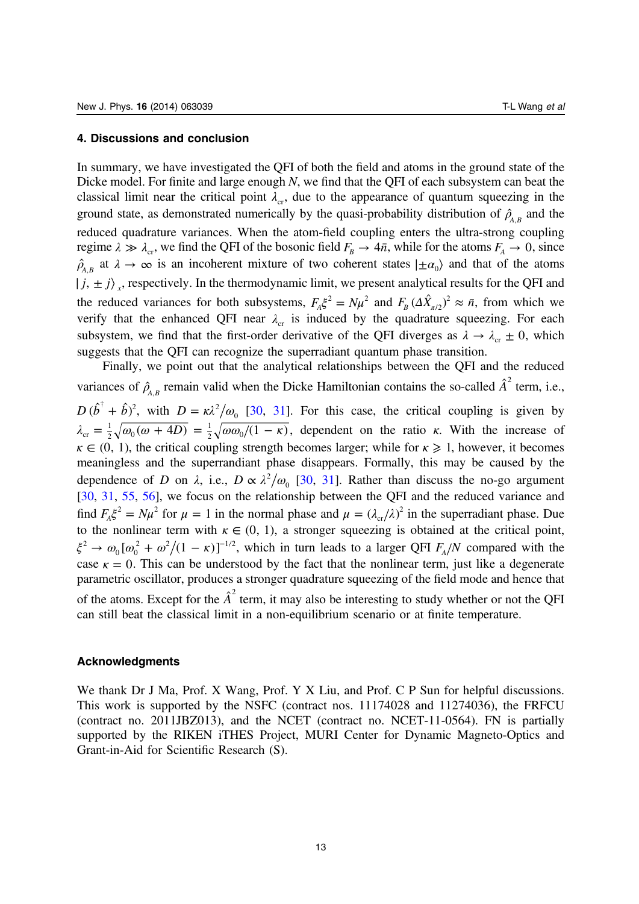#### 4. Discussions and conclusion

In summary, we have investigated the QFI of both the field and atoms in the ground state of the Dicke model. For finite and large enough N, we find that the QFI of each subsystem can beat the classical limit near the critical point  $\lambda_c$ , due to the appearance of quantum squeezing in the ground state, as demonstrated numerically by the quasi-probability distribution of  $\hat{\rho}_{A,B}$  and the reduced quadrature variances. When the atom-field coupling enters the ultra-strong coupling regime  $\lambda \gg \lambda_{cr}$ , we find the QFI of the bosonic field  $F_B \rightarrow 4\overline{n}$ , while for the atoms  $F_A \rightarrow 0$ , since  $\rho_{A,B}$  at  $\lambda \to \infty$  is an incoherent mixture of two coherent states  $|\pm \alpha_0\rangle$  and that of the atoms  $|j, \pm j\rangle$ <sub>x</sub>, respectively. In the thermodynamic limit, we present analytical results for the QFI and the reduced variances for both subsystems,  $F_A\xi^2 = N\mu^2$  and  $F_B(\Delta \hat{X}_{\pi/2})^2 \approx \bar{n}$ , from which we verify that the enhanced QFI near  $\lambda_c$  is induced by the quadrature squeezing. For each subsystem, we find that the first-order derivative of the QFI diverges as  $\lambda \to \lambda_{cr} \pm 0$ , which suggests that the QFI can recognize the superradiant quantum phase transition.

Finally, we point out that the analytical relationships between the QFI and the reduced variances of  $\hat{\rho}_{A,B}$  remain valid when the Dicke Hamiltonian contains the so-called  $\hat{A}^2$  term, i.e.,  $D(\hat{b}^{\dagger} + \hat{b})^2$ , with  $D = \kappa \lambda^2/\omega_0$  [[30,](#page-16-0) [31\]](#page-16-0). For this case, the critical coupling is given by  $λ_{cr} = \frac{1}{2} \sqrt{\omega_0 (\omega + 4D)} = \frac{1}{2} \sqrt{\omega \omega_0 / (1 - \kappa)}$  $\frac{1}{2}\sqrt{\omega\omega_0/(1-\kappa)}$ , dependent on the ratio κ. With the increase of  $\kappa \in (0, 1)$ , the critical coupling strength becomes larger; while for  $\kappa \geq 1$ , however, it becomes meaningless and the superrandiant phase disappears. Formally, this may be caused by the dependence of D on  $\lambda$ , i.e.,  $D \propto \lambda^2/\omega_0$  [[30,](#page-16-0) [31](#page-16-0)]. Rather than discuss the no-go argument [[30,](#page-16-0) [31,](#page-16-0) [55,](#page-17-0) [56\]](#page-17-0), we focus on the relationship between the QFI and the reduced variance and find  $F_A\xi^2 = N\mu^2$  for  $\mu = 1$  in the normal phase and  $\mu = (\lambda_{cr}/\lambda)^2$  in the superradiant phase. Due to the nonlinear term with  $\kappa \in (0, 1)$ , a stronger squeezing is obtained at the critical point,  $\xi^2 \to \omega_0 [\omega_0^2 + \omega^2/(1 - \kappa)]$ <sup>-</sup>  $\omega_p^2 + \omega^2/(1 - \kappa)$ <sup>-1/2</sup>, which in turn leads to a larger QFI  $F_A/N$  compared with the case  $\kappa = 0$ . This can be understood by the fact that the nonlinear term, just like a degenerate parametric oscillator, produces a stronger quadrature squeezing of the field mode and hence that of the atoms. Except for the  $\hat{A}^2$  term, it may also be interesting to study whether or not the QFI can still beat the classical limit in a non-equilibrium scenario or at finite temperature.

#### Acknowledgments

We thank Dr J Ma, Prof. X Wang, Prof. Y X Liu, and Prof. C P Sun for helpful discussions. This work is supported by the NSFC (contract nos. 11174028 and 11274036), the FRFCU (contract no. 2011JBZ013), and the NCET (contract no. NCET-11-0564). FN is partially supported by the RIKEN iTHES Project, MURI Center for Dynamic Magneto-Optics and Grant-in-Aid for Scientific Research (S).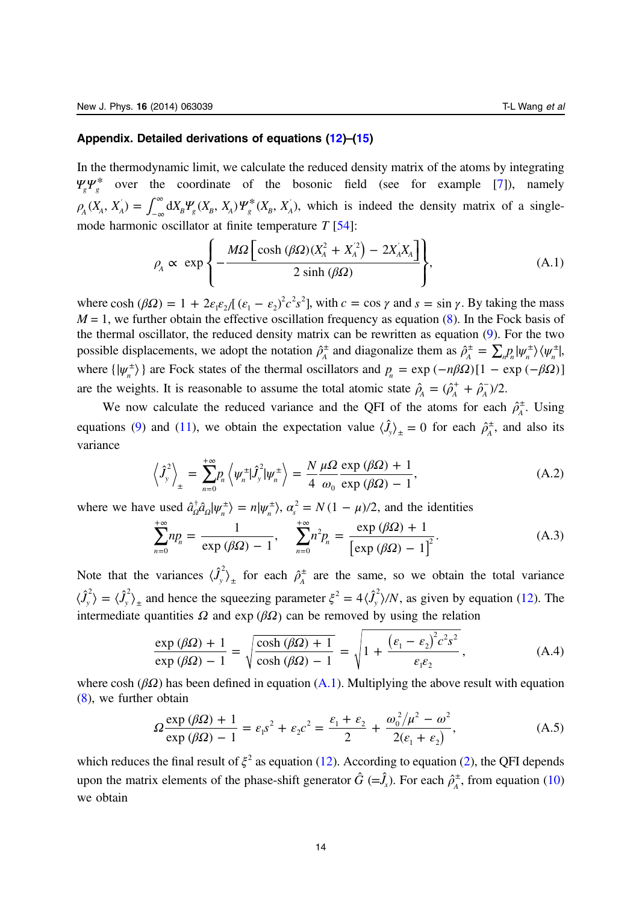### <span id="page-13-0"></span>Appendix. Detailed derivations of equations [\(12](#page-10-0))–[\(15](#page-11-0))

In the thermodynamic limit, we calculate the reduced density matrix of the atoms by integrating  $\Psi_{g} \Psi_{g}^{*}$  over the coordinate of the bosonic field (see for example [\[7](#page-16-0)]), namely  $\rho_A(X_A, X_A) = \int_{-\infty}^{\infty} dX_B \Psi_g(X_B, X_A) \Psi_g^*(X_B, X_A)$ , which is indeed the density matrix of a singlemode harmonic oscillator at finite temperature  $T$  [\[54](#page-17-0)]:

$$
\rho_A \propto \exp\left\{-\frac{M\Omega\left[\cosh\left(\beta\Omega\right)\left(X_A^2 + X_A^{'2}\right) - 2X_A^{'}X_A\right]}{2\sinh\left(\beta\Omega\right)}\right\},\tag{A.1}
$$

where cosh  $(\beta \Omega) = 1 + 2\varepsilon_1 \varepsilon_2/[(\varepsilon_1 - \varepsilon_2)^2 c^2 s^2]$ , with  $c = \cos \gamma$  and  $s = \sin \gamma$ . By taking the mass  $M = 1$ , we further obtain the effective oscillation frequency as equation [\(8](#page-9-0)). In the Fock basis of the thermal oscillator, the reduced density matrix can be rewritten as equation ([9\)](#page-9-0). For the two possible displacements, we adopt the notation  $\hat{\rho}_A^{\pm}$  and diagonalize them as  $\hat{\rho}_A^{\pm} = \sum_n p_n |\psi_n^{\pm}\rangle \langle \psi_n^{\pm}|$ , where  $\{|\psi_n^{\pm}\rangle\}$  are Fock states of the thermal oscillators and  $p_n = \exp(-n\beta\Omega)[1 - \exp(-\beta\Omega)]$ are the weights. It is reasonable to assume the total atomic state  $\hat{\rho}_A = (\hat{\rho}_A^+ + \hat{\rho}_A^-)/2$ .

We now calculate the reduced variance and the QFI of the atoms for each  $\hat{\rho}_A^{\pm}$ . Using equations [\(9](#page-9-0)) and [\(11](#page-10-0)), we obtain the expectation value  $\langle \hat{J}_y \rangle_{\pm} = 0$  for each  $\hat{\rho}_A^{\pm}$ , and also its variance

$$
\left\langle \hat{J}_y^2 \right\rangle_{\pm} = \sum_{n=0}^{+\infty} p_n \left\langle \psi_n^{\pm} | \hat{J}_y^2 | \psi_n^{\pm} \right\rangle = \frac{N}{4} \frac{\mu \Omega}{\omega_0} \frac{\exp(\beta \Omega) + 1}{\exp(\beta \Omega) - 1},
$$
\n(A.2)

where we have used  $\hat{a}_\Omega^{\dagger} \hat{a}_\Omega | \psi_n^{\dagger} \rangle = n | \psi_n^{\dagger} \rangle$ ,  $\alpha_s^2 = N(1 - \mu)/2$ , and the identities

$$
\sum_{n=0}^{+\infty} n p_n = \frac{1}{\exp\left(\beta \Omega\right) - 1}, \quad \sum_{n=0}^{+\infty} n^2 p_n = \frac{\exp\left(\beta \Omega\right) + 1}{\left[\exp\left(\beta \Omega\right) - 1\right]^2}.
$$
\n(A.3)

Note that the variances  $\langle \hat{J}_y^2 \rangle_{\pm}$  for each  $\hat{\rho}_A^{\pm}$  are the same, so we obtain the total variance  $\langle \hat{J}_y^2 \rangle = \langle \hat{J}_y^2 \rangle_{\pm}$  and hence the squeezing parameter  $\xi^2 = 4 \langle \hat{J}_y^2 \rangle/N$ , as given by equation [\(12](#page-10-0)). The intermediate quantities  $\Omega$  and exp ( $\beta\Omega$ ) can be removed by using the relation

$$
\frac{\exp\left(\beta\Omega\right) + 1}{\exp\left(\beta\Omega\right) - 1} = \sqrt{\frac{\cosh\left(\beta\Omega\right) + 1}{\cosh\left(\beta\Omega\right) - 1}} = \sqrt{1 + \frac{\left(\varepsilon_1 - \varepsilon_2\right)^2 c^2 s^2}{\varepsilon_1 \varepsilon_2}},\tag{A.4}
$$

where cosh  $(\beta \Omega)$  has been defined in equation (A.1). Multiplying the above result with equation ([8\)](#page-9-0), we further obtain

$$
\Omega \frac{\exp(\beta \Omega) + 1}{\exp(\beta \Omega) - 1} = \varepsilon_1 s^2 + \varepsilon_2 c^2 = \frac{\varepsilon_1 + \varepsilon_2}{2} + \frac{\omega_0^2 / \mu^2 - \omega^2}{2(\varepsilon_1 + \varepsilon_2)},
$$
(A.5)

which reduces the final result of  $\xi^2$  as equation [\(12](#page-10-0)). According to equation [\(2](#page-2-0)), the QFI depends upon the matrix elements of the phase-shift generator  $\hat{G} (= \hat{J}_x)$ . For each  $\hat{\rho}_A^{\pm}$ , from equation [\(10](#page-10-0)) we obtain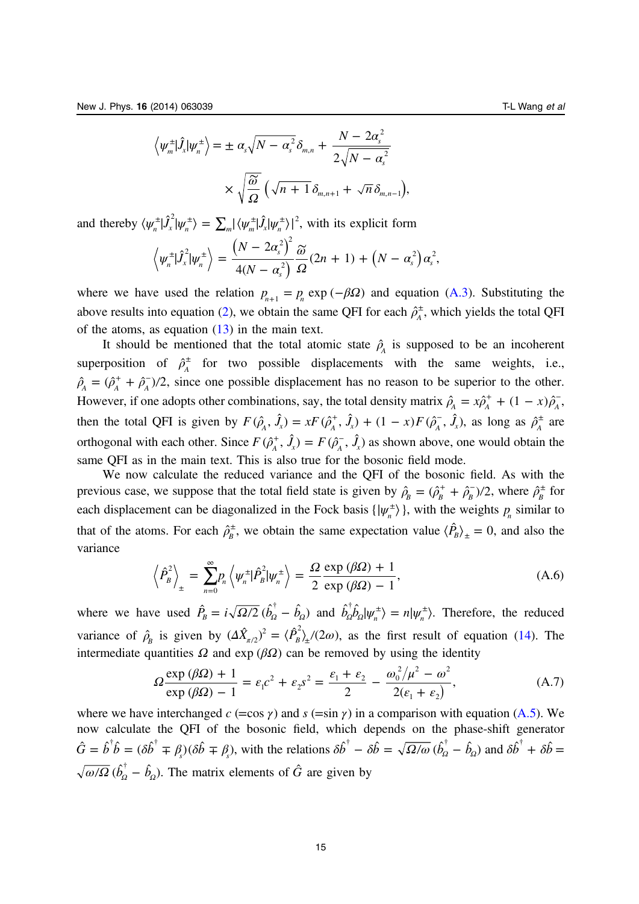<span id="page-14-0"></span>
$$
\left\langle \psi_m^{\pm} | \hat{J}_x | \psi_n^{\pm} \right\rangle = \pm \alpha_s \sqrt{N - \alpha_s^2} \delta_{m,n} + \frac{N - 2\alpha_s^2}{2\sqrt{N - \alpha_s^2}} \times \sqrt{\frac{\widetilde{\omega}}{\Omega}} \left( \sqrt{n+1} \delta_{m,n+1} + \sqrt{n} \delta_{m,n-1} \right),
$$

and thereby  $\langle \psi_n^{\pm} | \hat{J}_x^2 | \psi_n^{\pm} \rangle = \sum_m |\langle \psi_m^{\pm} | \hat{J}_x | \psi_n^{\pm} \rangle|^2$ , with its explicit form

$$
\left\langle \psi_n^{\pm}|\hat{J}_x^2|\psi_n^{\pm}\right\rangle = \frac{\left(N-2\alpha_s^2\right)^2}{4(N-\alpha_s^2)}\frac{\widetilde{\omega}}{\Omega}(2n+1) + \left(N-\alpha_s^2\right)\alpha_s^2,
$$

where we have used the relation  $p_{n+1} = p_n \exp(-\beta \Omega)$  and equation ([A.3](#page-13-0)). Substituting the above results into equation [\(2](#page-2-0)), we obtain the same QFI for each  $\hat{\rho}_A^{\pm}$ , which yields the total QFI of the atoms, as equation  $(13)$  $(13)$  in the main text.

It should be mentioned that the total atomic state  $\hat{\rho}_A$  is supposed to be an incoherent superposition of  $\hat{\rho}_A^{\pm}$  for two possible displacements with the same weights, i.e.,  $\hat{\rho}_A = (\hat{\rho}_A^+ + \hat{\rho}_A^-)/2$ , since one possible displacement has no reason to be superior to the other. However, if one adopts other combinations, say, the total density matrix  $\hat{\rho}_A = x\hat{\rho}_A^+ + (1 - x)\hat{\rho}_A^-$ , then the total QFI is given by  $F(\hat{\rho}_A^*, \hat{J}_x) = xF(\hat{\rho}_A^*, \hat{J}_x) + (1 - x)F(\hat{\rho}_A^*, \hat{J}_x)$ , as long as  $\hat{\rho}_A^{\pm}$  are orthogonal with each other. Since  $F(\hat{\rho}_A^+, \hat{J}_x) = F(\hat{\rho}_A^-, \hat{J}_x)$  as shown above, one would obtain the same QFI as in the main text. This is also true for the bosonic field mode.

We now calculate the reduced variance and the QFI of the bosonic field. As with the previous case, we suppose that the total field state is given by  $\hat{\rho}_B = (\hat{\rho}_B^+ + \hat{\rho}_B^-)/2$ , where  $\hat{\rho}_B^{\pm}$  for each displacement can be diagonalized in the Fock basis  $\{|\psi_n^{\pm}\rangle\}$ , with the weights  $p_n$  similar to that of the atoms. For each  $\hat{\rho}_B^{\pm}$ , we obtain the same expectation value  $\langle \hat{P}_B \rangle_{\pm} = 0$ , and also the variance

$$
\left\langle \hat{P}_{B}^{2}\right\rangle_{\pm}=\sum_{n=0}^{\infty}P_{n}\left\langle \psi_{n}^{\pm}|\hat{P}_{B}^{2}|\psi_{n}^{\pm}\right\rangle =\frac{\Omega}{2}\frac{\exp\left(\beta\Omega\right)+1}{\exp\left(\beta\Omega\right)-1},\tag{A.6}
$$

where we have used  $\hat{P}_B = i \sqrt{\frac{\Omega}{2}} (\hat{b}_\Omega^\dagger - \hat{b}_\Omega)$  and  $\hat{b}_\Omega^\dagger \hat{b}_\Omega |\psi_n^\dagger \rangle = n |\psi_n^\dagger \rangle$ . Therefore, the reduced variance of  $\hat{\rho}_B$  is given by  $(\Delta \hat{X}_{\pi/2})^2 = \langle \hat{P}_B^2 \rangle$ <sub>1</sub>/(2*ω*), as the first result of equation ([14\)](#page-10-0). The intermediate quantities  $\Omega$  and exp ( $\beta\Omega$ ) can be removed by using the identity

$$
\Omega \frac{\exp(\beta \Omega) + 1}{\exp(\beta \Omega) - 1} = \varepsilon_1 c^2 + \varepsilon_2 s^2 = \frac{\varepsilon_1 + \varepsilon_2}{2} - \frac{\omega_0^2 / \mu^2 - \omega^2}{2(\varepsilon_1 + \varepsilon_2)},
$$
(A.7)

where we have interchanged  $c$  (=cos  $\gamma$ ) and  $s$  (=sin  $\gamma$ ) in a comparison with equation [\(A.5\)](#page-13-0). We now calculate the QFI of the bosonic field, which depends on the phase-shift generator  $\hat{G} = \hat{b}^{\dagger} \hat{b} = (\delta \hat{b}^{\dagger} \mp \beta_s)(\delta \hat{b} \mp \beta_s)$ , with the relations  $\delta \hat{b}^{\dagger} - \delta \hat{b} = \sqrt{\Omega/\omega} (\hat{b}_{\Omega}^{\dagger} - \hat{b}_{\Omega})$  and  $\delta \hat{b}^{\dagger} + \delta \hat{b} =$  $\overline{\omega/\Omega}$  ( $\hat{b}_\Omega^{\dagger} - \hat{b}_\Omega$ ). The matrix elements of  $\hat{G}$  are given by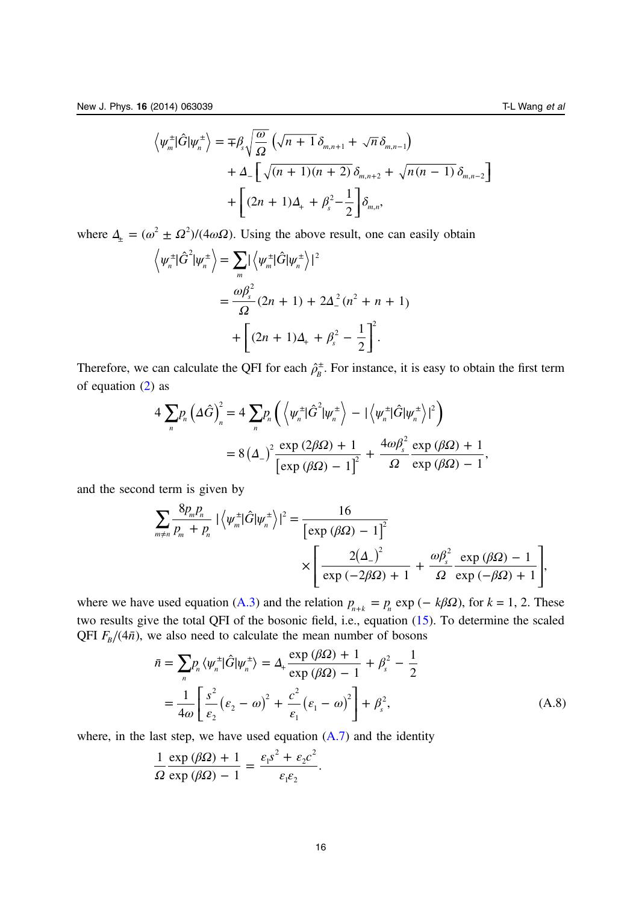<span id="page-15-0"></span>
$$
\left\langle \psi_m^{\pm}|\hat{G}|\psi_n^{\pm}\right\rangle = \mp \beta_s \sqrt{\frac{\omega}{\Omega}} \left( \sqrt{n+1} \delta_{m,n+1} + \sqrt{n} \delta_{m,n-1} \right) + \Delta_- \left[ \sqrt{(n+1)(n+2)} \delta_{m,n+2} + \sqrt{n(n-1)} \delta_{m,n-2} \right] + \left[ (2n+1)\Delta_+ + \beta_s^2 - \frac{1}{2} \right] \delta_{m,n},
$$

where  $\Delta_{\pm} = (\omega^2 \pm \Omega^2) / (4 \omega \Omega)$ . Using the above result, one can easily obtain

$$
\left\langle \psi_n^{\pm} | \hat{G}^2 | \psi_n^{\pm} \right\rangle = \sum_m | \left\langle \psi_m^{\pm} | \hat{G} | \psi_n^{\pm} \right\rangle |^2
$$
  
= 
$$
\frac{\omega \beta_s^2}{\Omega} (2n + 1) + 2\Delta_-^2 (n^2 + n + 1)
$$
  
+ 
$$
\left[ (2n + 1)\Delta_+ + \beta_s^2 - \frac{1}{2} \right]^2.
$$

Therefore, we can calculate the QFI for each  $\hat{\rho}_B^{\pm}$ . For instance, it is easy to obtain the first term of equation [\(2](#page-2-0)) as

$$
4\sum_{n}p_{n}\left(\Delta\hat{G}\right)_{n}^{2}=4\sum_{n}p_{n}\left(\left\langle \psi_{n}^{\pm}|\hat{G}^{2}|\psi_{n}^{\pm}\right\rangle -|\left\langle \psi_{n}^{\pm}|\hat{G}|\psi_{n}^{\pm}\right\rangle |^{2}\right)
$$

$$
=8\left(\Delta_{-}\right)^{2}\frac{\exp(2\beta\Omega)+1}{\left[\exp(\beta\Omega)-1\right]^{2}}+\frac{4\omega\beta_{s}^{2}}{\Omega}\frac{\exp(\beta\Omega)+1}{\exp(\beta\Omega)-1},
$$

and the second term is given by

$$
\sum_{m \neq n} \frac{8p_m p_n}{p_m + p_n} \left| \left\langle \psi_m^{\pm} | \hat{G} | \psi_n^{\pm} \right\rangle \right|^2 = \frac{16}{\left[ \exp \left( \beta \Omega \right) - 1 \right]^2} \times \left[ \frac{2(\Delta_-)^2}{\exp \left( -2\beta \Omega \right) + 1} + \frac{\omega \beta_s^2}{\Omega} \frac{\exp \left( \beta \Omega \right) - 1}{\exp \left( -\beta \Omega \right) + 1} \right],
$$

where we have used equation ([A.3](#page-13-0)) and the relation  $p_{n+k} = p_n \exp(-k\beta\Omega)$ , for  $k = 1, 2$ . These two results give the total QFI of the bosonic field, i.e., equation ([15\)](#page-11-0). To determine the scaled QFI  $F_B/(4\bar{n})$ , we also need to calculate the mean number of bosons

$$
\bar{n} = \sum_{n} p_{n} \langle \psi_{n}^{\pm} | \hat{G} | \psi_{n}^{\pm} \rangle = \Delta_{+} \frac{\exp (\beta \Omega) + 1}{\exp (\beta \Omega) - 1} + \beta_{s}^{2} - \frac{1}{2}
$$

$$
= \frac{1}{4\omega} \left[ \frac{s^{2}}{\varepsilon_{2}} (\varepsilon_{2} - \omega)^{2} + \frac{c^{2}}{\varepsilon_{1}} (\varepsilon_{1} - \omega)^{2} \right] + \beta_{s}^{2}, \tag{A.8}
$$

where, in the last step, we have used equation  $(A.7)$  and the identity

$$
\frac{1}{\Omega} \frac{\exp(\beta \Omega) + 1}{\exp(\beta \Omega) - 1} = \frac{\varepsilon_1 s^2 + \varepsilon_2 c^2}{\varepsilon_1 \varepsilon_2}.
$$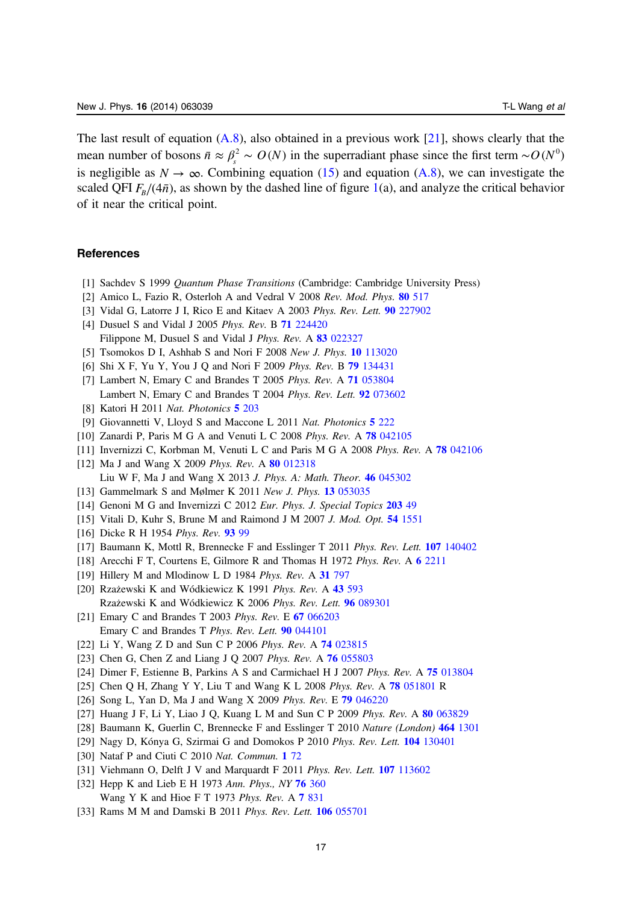<span id="page-16-0"></span>The last result of equation  $(A.8)$ , also obtained in a previous work [21], shows clearly that the mean number of bosons  $\bar{n} \approx \beta_s^2 \sim O(N)$  in the superradiant phase since the first term ~ $O(N^0)$ is negligible as  $N \to \infty$ . Combining equation ([15\)](#page-11-0) and equation ([A.8](#page-15-0)), we can investigate the scaled QFI  $F_B/(4\bar{n})$ , as shown by the dashed line of figure [1](#page-3-0)(a), and analyze the critical behavior of it near the critical point.

#### **References**

- [1] Sachdev S 1999 Quantum Phase Transitions (Cambridge: Cambridge University Press)
- [2] Amico L, Fazio R, Osterloh A and Vedral V 2008 Rev. Mod. Phys. 80 [517](http://dx.doi.org/10.1103/RevModPhys.80.517)
- [3] Vidal G, Latorre J I, Rico E and Kitaev A 2003 Phys. Rev. Lett. 90 [227902](http://dx.doi.org/10.1103/PhysRevLett.90.227902)
- [4] Dusuel S and Vidal J 2005 Phys. Rev. B 71 [224420](http://dx.doi.org/10.1103/PhysRevB.71.224420) Filippone M, Dusuel S and Vidal J Phys. Rev. A 83 [022327](http://dx.doi.org/10.1103/PhysRevA.83.022327)
- [5] Tsomokos D I, Ashhab S and Nori F 2008 New J. Phys. 10 [113020](http://dx.doi.org/10.1088/1367-2630/10/11/113020)
- [6] Shi X F, Yu Y, You J Q and Nori F 2009 Phys. Rev. B 79 [134431](http://dx.doi.org/10.1103/PhysRevB.79.134431)
- [7] Lambert N, Emary C and Brandes T 2005 Phys. Rev. A 71 [053804](http://dx.doi.org/10.1103/PhysRevA.71.053804) Lambert N, Emary C and Brandes T 2004 Phys. Rev. Lett. 92 [073602](http://dx.doi.org/10.1103/PhysRevLett.92.073602)
- [8] Katori H 2011 Nat. Photonics 5 [203](http://dx.doi.org/10.1038/nphoton.2011.45)
- [9] Giovannetti V, Lloyd S and Maccone L 2011 Nat. Photonics 5 [222](http://dx.doi.org/10.1038/nphoton.2011.35)
- [10] Zanardi P, Paris M G A and Venuti L C 2008 Phys. Rev. A **78** [042105](http://dx.doi.org/10.1103/PhysRevA.78.042105)
- [11] Invernizzi C, Korbman M, Venuti L C and Paris M G A 2008 Phys. Rev. A 78 [042106](http://dx.doi.org/10.1103/PhysRevA.78.042106)
- [12] Ma J and Wang X 2009 Phys. Rev. A 80 [012318](http://dx.doi.org/10.1103/PhysRevA.80.012318) Liu W F, Ma J and Wang X 2013 J. Phys. A: Math. Theor. 46 [045302](http://dx.doi.org/10.1088/1751-8113/46/4/045302)
- [13] Gammelmark S and Mølmer K 2011 New J. Phys. 13 [053035](http://dx.doi.org/10.1088/1367-2630/13/5/053035)
- [14] Genoni M G and Invernizzi C 2012 Eur. Phys. J. Special Topics [203](http://dx.doi.org/10.1140/epjst/e2012-01534-2) 49
- [15] Vitali D, Kuhr S, Brune M and Raimond J M 2007 J. Mod. Opt. 54 [1551](http://dx.doi.org/10.1080/09500340600741124)
- [16] Dicke R H 1954 Phys. Rev. 93 [99](http://dx.doi.org/10.1103/PhysRev.93.99)
- [17] Baumann K, Mottl R, Brennecke F and Esslinger T 2011 Phys. Rev. Lett. 107 [140402](http://dx.doi.org/10.1103/PhysRevLett.107.140402)
- [18] Arecchi F T, Courtens E, Gilmore R and Thomas H 1972 Phys. Rev. A 6 [2211](http://dx.doi.org/10.1103/PhysRevA.6.2211)
- [19] Hillery M and Mlodinow L D 1984 Phys. Rev. A 31 [797](http://dx.doi.org/10.1103/PhysRevA.31.797)
- [20] Rzażewski K and Wódkiewicz K 1991 Phys. Rev. A 43 [593](http://dx.doi.org/10.1103/PhysRevA.43.593) Rzażewski K and Wódkiewicz K 2006 Phys. Rev. Lett. 96 [089301](http://dx.doi.org/10.1103/PhysRevLett.96.089301)
- [21] Emary C and Brandes T 2003 Phys. Rev. E 67 [066203](http://dx.doi.org/10.1103/PhysRevE.67.066203) Emary C and Brandes T Phys. Rev. Lett. 90 [044101](http://dx.doi.org/10.1103/PhysRevLett.90.044101)
- [22] Li Y, Wang Z D and Sun C P 2006 Phys. Rev. A **74** [023815](http://dx.doi.org/10.1103/PhysRevA.74.023815)
- [23] Chen G, Chen Z and Liang J Q 2007 Phys. Rev. A 76 [055803](http://dx.doi.org/10.1103/PhysRevA.76.055803)
- [24] Dimer F, Estienne B, Parkins A S and Carmichael H J 2007 Phys. Rev. A 75 [013804](http://dx.doi.org/10.1103/PhysRevA.75.013804)
- [25] Chen Q H, Zhang Y Y, Liu T and Wang K L 2008 Phys. Rev. A 78 [051801](http://dx.doi.org/10.1103/PhysRevA.78.051801) R
- [26] Song L, Yan D, Ma J and Wang X 2009 Phys. Rev. E 79 [046220](http://dx.doi.org/10.1103/PhysRevE.79.046220)
- [27] Huang J F, Li Y, Liao J Q, Kuang L M and Sun C P 2009 Phys. Rev. A 80 [063829](http://dx.doi.org/10.1103/PhysRevA.80.063829)
- [28] Baumann K, Guerlin C, Brennecke F and Esslinger T 2010 Nature (London) 464 [1301](http://dx.doi.org/10.1038/nature09009)
- [29] Nagy D, Kónya G, Szirmai G and Domokos P 2010 Phys. Rev. Lett. 104 [130401](http://dx.doi.org/10.1103/PhysRevLett.104.130401)
- [30] Nataf P and Ciuti C 2010 Nat. Commun. 1 [72](http://dx.doi.org/10.1038/ncomms1069)
- [31] Viehmann O, Delft J V and Marquardt F 2011 Phys. Rev. Lett. 107 [113602](http://dx.doi.org/10.1103/PhysRevLett.107.113602)
- [32] Hepp K and Lieb E H 1973 Ann. Phys., NY 76 [360](http://dx.doi.org/10.1016/0003-4916(73)90039-0) Wang Y K and Hioe F T 1973 Phys. Rev. A 7 [831](http://dx.doi.org/10.1103/PhysRevA.7.831)
- [33] Rams M M and Damski B 2011 Phys. Rev. Lett. **106** [055701](http://dx.doi.org/10.1103/PhysRevLett.106.055701)